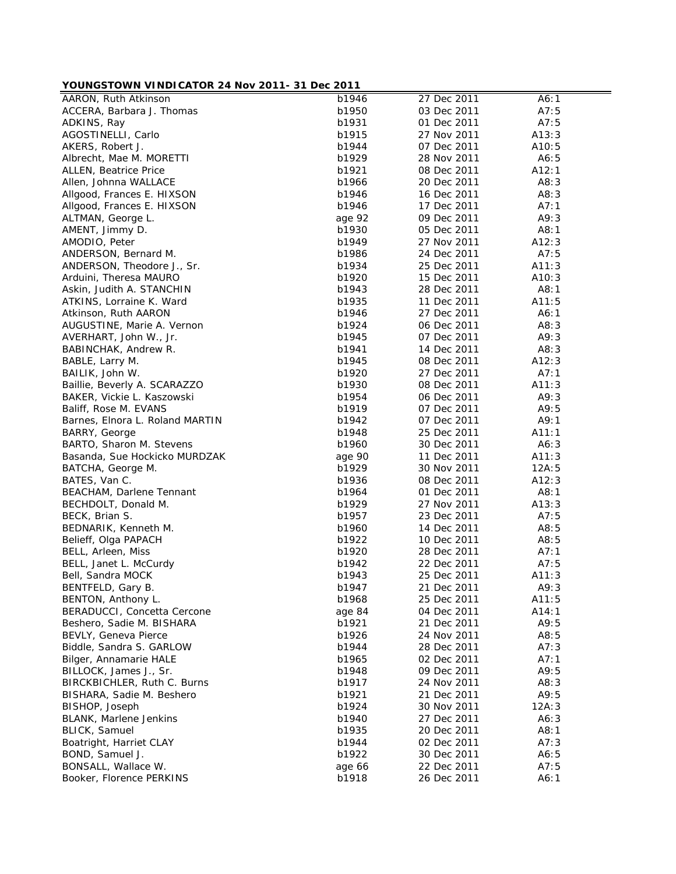## **YOUNGSTOWN VINDICATOR 24 Nov 2011- 31 Dec 2011**

| <b>I</b> CONCOTOWING WINDICATOR 24 NOV 2011-01 DCC 2011 |                    |             |       |
|---------------------------------------------------------|--------------------|-------------|-------|
| AARON, Ruth Atkinson                                    | $\overline{b1946}$ | 27 Dec 2011 | A6:1  |
| ACCERA, Barbara J. Thomas                               | b1950              | 03 Dec 2011 | A7:5  |
| ADKINS, Ray                                             | b1931              | 01 Dec 2011 | A7:5  |
| AGOSTINELLI, Carlo                                      | b1915              | 27 Nov 2011 | A13:3 |
| AKERS, Robert J.                                        | b1944              | 07 Dec 2011 | A10:5 |
| Albrecht, Mae M. MORETTI                                | b1929              | 28 Nov 2011 | A6:5  |
| ALLEN, Beatrice Price                                   | b1921              | 08 Dec 2011 | A12:1 |
| Allen, Johnna WALLACE                                   | b1966              | 20 Dec 2011 | A8:3  |
| Allgood, Frances E. HIXSON                              | b1946              | 16 Dec 2011 | A8:3  |
| Allgood, Frances E. HIXSON                              | b1946              | 17 Dec 2011 | A7:1  |
| ALTMAN, George L.                                       | age 92             | 09 Dec 2011 | A9:3  |
| AMENT, Jimmy D.                                         | b1930              | 05 Dec 2011 | A8:1  |
| AMODIO, Peter                                           | b1949              | 27 Nov 2011 | A12:3 |
| ANDERSON, Bernard M.                                    | b1986              | 24 Dec 2011 | A7:5  |
| ANDERSON, Theodore J., Sr.                              | b1934              | 25 Dec 2011 | A11:3 |
| Arduini, Theresa MAURO                                  | b1920              | 15 Dec 2011 | A10:3 |
| Askin, Judith A. STANCHIN                               | b1943              | 28 Dec 2011 | A8:1  |
| ATKINS, Lorraine K. Ward                                | b1935              | 11 Dec 2011 | A11:5 |
| Atkinson, Ruth AARON                                    | b1946              | 27 Dec 2011 | A6:1  |
|                                                         |                    |             | A8:3  |
| AUGUSTINE, Marie A. Vernon                              | b1924<br>b1945     | 06 Dec 2011 |       |
| AVERHART, John W., Jr.                                  |                    | 07 Dec 2011 | A9:3  |
| BABINCHAK, Andrew R.                                    | b1941              | 14 Dec 2011 | A8:3  |
| BABLE, Larry M.                                         | b1945              | 08 Dec 2011 | A12:3 |
| BAILIK, John W.                                         | b1920              | 27 Dec 2011 | A7:1  |
| Baillie, Beverly A. SCARAZZO                            | b1930              | 08 Dec 2011 | A11:3 |
| BAKER, Vickie L. Kaszowski                              | b1954              | 06 Dec 2011 | A9:3  |
| Baliff, Rose M. EVANS                                   | b1919              | 07 Dec 2011 | A9:5  |
| Barnes, Elnora L. Roland MARTIN                         | b1942              | 07 Dec 2011 | A9:1  |
| BARRY, George                                           | b1948              | 25 Dec 2011 | A11:1 |
| BARTO, Sharon M. Stevens                                | b1960              | 30 Dec 2011 | A6:3  |
| Basanda, Sue Hockicko MURDZAK                           | age 90             | 11 Dec 2011 | A11:3 |
| BATCHA, George M.                                       | b1929              | 30 Nov 2011 | 12A:5 |
| BATES, Van C.                                           | b1936              | 08 Dec 2011 | A12:3 |
| BEACHAM, Darlene Tennant                                | b1964              | 01 Dec 2011 | A8:1  |
| BECHDOLT, Donald M.                                     | b1929              | 27 Nov 2011 | A13:3 |
| BECK, Brian S.                                          | b1957              | 23 Dec 2011 | A7:5  |
| BEDNARIK, Kenneth M.                                    | b1960              | 14 Dec 2011 | A8:5  |
| Belieff, Olga PAPACH                                    | b1922              | 10 Dec 2011 | A8:5  |
| BELL, Arleen, Miss                                      | b1920              | 28 Dec 2011 | A7:1  |
| BELL, Janet L. McCurdy                                  | b1942              | 22 Dec 2011 | A7:5  |
| Bell, Sandra MOCK                                       | b1943              | 25 Dec 2011 | A11:3 |
| BENTFELD, Gary B.                                       | b1947              | 21 Dec 2011 | A9:3  |
| BENTON, Anthony L.                                      | b1968              | 25 Dec 2011 | A11:5 |
| BERADUCCI, Concetta Cercone                             | age 84             | 04 Dec 2011 | A14:1 |
| Beshero, Sadie M. BISHARA                               | b1921              | 21 Dec 2011 | A9:5  |
| BEVLY, Geneva Pierce                                    | b1926              | 24 Nov 2011 | A8:5  |
| Biddle, Sandra S. GARLOW                                | b1944              | 28 Dec 2011 | A7:3  |
| Bilger, Annamarie HALE                                  | b1965              | 02 Dec 2011 | A7:1  |
| BILLOCK, James J., Sr.                                  | b1948              | 09 Dec 2011 | A9:5  |
| BIRCKBICHLER, Ruth C. Burns                             | b1917              | 24 Nov 2011 | A8:3  |
|                                                         |                    | 21 Dec 2011 | A9:5  |
| BISHARA, Sadie M. Beshero                               | b1921              |             |       |
| BISHOP, Joseph                                          | b1924              | 30 Nov 2011 | 12A:3 |
| BLANK, Marlene Jenkins                                  | b1940              | 27 Dec 2011 | A6:3  |
| <b>BLICK, Samuel</b>                                    | b1935              | 20 Dec 2011 | A8:1  |
| Boatright, Harriet CLAY                                 | b1944              | 02 Dec 2011 | A7:3  |
| BOND, Samuel J.                                         | b1922              | 30 Dec 2011 | A6:5  |
| BONSALL, Wallace W.                                     | age 66             | 22 Dec 2011 | A7:5  |
| Booker, Florence PERKINS                                | b1918              | 26 Dec 2011 | A6:1  |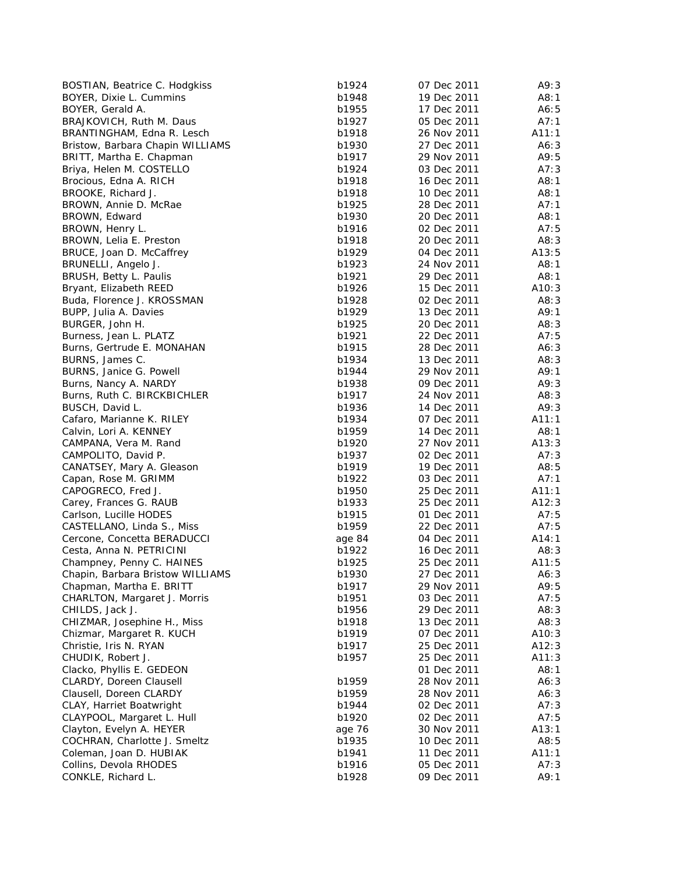| BOSTIAN, Beatrice C. Hodgkiss    | b1924  | 07 Dec 2011 | A9:3  |
|----------------------------------|--------|-------------|-------|
| BOYER, Dixie L. Cummins          | b1948  | 19 Dec 2011 | A8:1  |
| BOYER, Gerald A.                 | b1955  | 17 Dec 2011 | A6:5  |
| BRAJKOVICH, Ruth M. Daus         | b1927  | 05 Dec 2011 | A7:1  |
| BRANTINGHAM, Edna R. Lesch       | b1918  | 26 Nov 2011 | A11:1 |
| Bristow, Barbara Chapin WILLIAMS | b1930  | 27 Dec 2011 | A6:3  |
| BRITT, Martha E. Chapman         | b1917  | 29 Nov 2011 | A9:5  |
| Briya, Helen M. COSTELLO         | b1924  | 03 Dec 2011 | A7:3  |
| Brocious, Edna A. RICH           | b1918  | 16 Dec 2011 | A8:1  |
| BROOKE, Richard J.               | b1918  | 10 Dec 2011 | A8:1  |
| BROWN, Annie D. McRae            | b1925  | 28 Dec 2011 | A7:1  |
| BROWN, Edward                    | b1930  | 20 Dec 2011 | A8:1  |
| BROWN, Henry L.                  | b1916  | 02 Dec 2011 | A7:5  |
| BROWN, Lelia E. Preston          | b1918  | 20 Dec 2011 | A8:3  |
| BRUCE, Joan D. McCaffrey         | b1929  | 04 Dec 2011 | A13:5 |
| BRUNELLI, Angelo J.              | b1923  | 24 Nov 2011 | A8:1  |
| BRUSH, Betty L. Paulis           | b1921  | 29 Dec 2011 | A8:1  |
| Bryant, Elizabeth REED           | b1926  | 15 Dec 2011 | A10:3 |
| Buda, Florence J. KROSSMAN       | b1928  | 02 Dec 2011 | A8:3  |
| BUPP, Julia A. Davies            | b1929  | 13 Dec 2011 | A9:1  |
| BURGER, John H.                  | b1925  | 20 Dec 2011 | A8:3  |
| Burness, Jean L. PLATZ           | b1921  | 22 Dec 2011 | A7:5  |
| Burns, Gertrude E. MONAHAN       | b1915  | 28 Dec 2011 | A6:3  |
| BURNS, James C.                  | b1934  | 13 Dec 2011 | A8:3  |
| BURNS, Janice G. Powell          | b1944  | 29 Nov 2011 | A9:1  |
| Burns, Nancy A. NARDY            | b1938  | 09 Dec 2011 | A9:3  |
| Burns, Ruth C. BIRCKBICHLER      | b1917  | 24 Nov 2011 | A8:3  |
| BUSCH, David L.                  | b1936  | 14 Dec 2011 | A9:3  |
| Cafaro, Marianne K. RILEY        | b1934  | 07 Dec 2011 | A11:1 |
| Calvin, Lori A. KENNEY           | b1959  | 14 Dec 2011 | A8:1  |
| CAMPANA, Vera M. Rand            | b1920  | 27 Nov 2011 | A13:3 |
| CAMPOLITO, David P.              | b1937  | 02 Dec 2011 | A7:3  |
| CANATSEY, Mary A. Gleason        | b1919  | 19 Dec 2011 | A8:5  |
| Capan, Rose M. GRIMM             | b1922  | 03 Dec 2011 | A7:1  |
| CAPOGRECO, Fred J.               | b1950  | 25 Dec 2011 | A11:1 |
| Carey, Frances G. RAUB           | b1933  | 25 Dec 2011 | A12:3 |
| Carlson, Lucille HODES           | b1915  | 01 Dec 2011 | A7:5  |
| CASTELLANO, Linda S., Miss       | b1959  | 22 Dec 2011 | A7:5  |
| Cercone, Concetta BERADUCCI      | age 84 | 04 Dec 2011 | A14:1 |
| Cesta, Anna N. PETRICINI         | b1922  | 16 Dec 2011 | A8:3  |
| Champney, Penny C. HAINES        | b1925  | 25 Dec 2011 | A11:5 |
| Chapin, Barbara Bristow WILLIAMS | b1930  | 27 Dec 2011 | A6:3  |
| Chapman, Martha E. BRITT         | b1917  | 29 Nov 2011 | A9:5  |
| CHARLTON, Margaret J. Morris     | b1951  | 03 Dec 2011 | A7:5  |
| CHILDS, Jack J.                  | b1956  | 29 Dec 2011 | A8:3  |
| CHIZMAR, Josephine H., Miss      | b1918  | 13 Dec 2011 | A8:3  |
| Chizmar, Margaret R. KUCH        | b1919  | 07 Dec 2011 | A10:3 |
| Christie, Iris N. RYAN           | b1917  | 25 Dec 2011 | A12:3 |
| CHUDIK, Robert J.                | b1957  | 25 Dec 2011 | A11:3 |
| Clacko, Phyllis E. GEDEON        |        | 01 Dec 2011 | A8:1  |
| CLARDY, Doreen Clausell          | b1959  | 28 Nov 2011 | A6:3  |
| Clausell, Doreen CLARDY          | b1959  | 28 Nov 2011 | A6:3  |
| CLAY, Harriet Boatwright         | b1944  | 02 Dec 2011 | A7:3  |
| CLAYPOOL, Margaret L. Hull       | b1920  | 02 Dec 2011 | A7:5  |
| Clayton, Evelyn A. HEYER         | age 76 | 30 Nov 2011 | A13:1 |
| COCHRAN, Charlotte J. Smeltz     | b1935  | 10 Dec 2011 | A8:5  |
| Coleman, Joan D. HUBIAK          | b1941  | 11 Dec 2011 | A11:1 |
| Collins, Devola RHODES           | b1916  | 05 Dec 2011 | A7:3  |
| CONKLE, Richard L.               | b1928  | 09 Dec 2011 | A9:1  |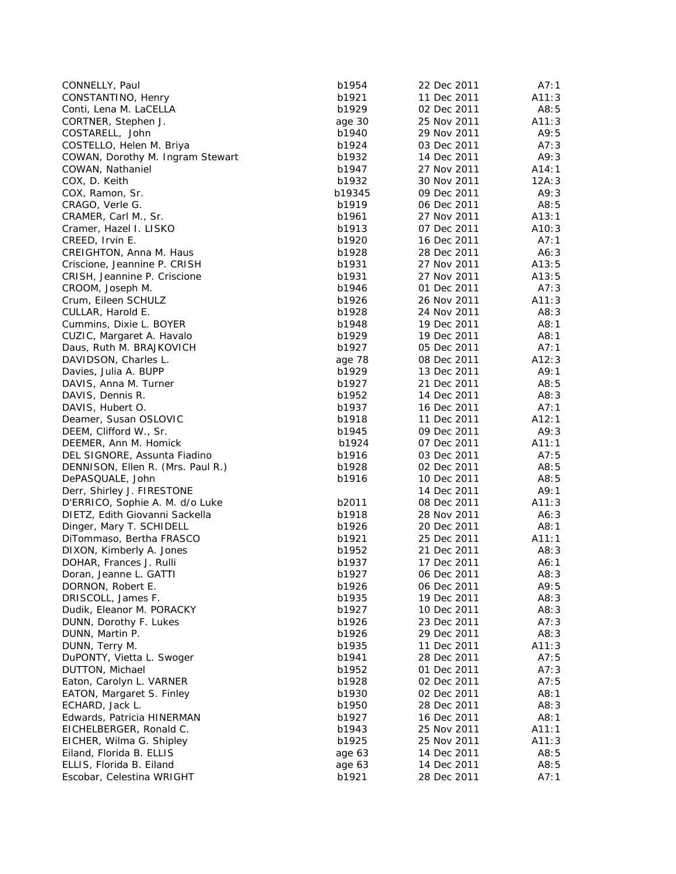| CONNELLY, Paul                    | b1954  | 22 Dec 2011 | A7:1  |
|-----------------------------------|--------|-------------|-------|
| CONSTANTINO, Henry                | b1921  | 11 Dec 2011 | A11:3 |
| Conti, Lena M. LaCELLA            | b1929  | 02 Dec 2011 | A8:5  |
| CORTNER, Stephen J.               | age 30 | 25 Nov 2011 | A11:3 |
| COSTARELL, John                   | b1940  | 29 Nov 2011 | A9:5  |
| COSTELLO, Helen M. Briya          | b1924  | 03 Dec 2011 | A7:3  |
| COWAN, Dorothy M. Ingram Stewart  | b1932  | 14 Dec 2011 | A9:3  |
| COWAN, Nathaniel                  | b1947  | 27 Nov 2011 | A14:1 |
| COX, D. Keith                     | b1932  | 30 Nov 2011 | 12A:3 |
| COX, Ramon, Sr.                   | b19345 | 09 Dec 2011 | A9:3  |
| CRAGO, Verle G.                   | b1919  | 06 Dec 2011 | A8:5  |
| CRAMER, Carl M., Sr.              | b1961  | 27 Nov 2011 | A13:1 |
| Cramer, Hazel I. LISKO            | b1913  | 07 Dec 2011 | A10:3 |
| CREED, Irvin E.                   | b1920  | 16 Dec 2011 | A7:1  |
| CREIGHTON, Anna M. Haus           | b1928  | 28 Dec 2011 | A6:3  |
| Criscione, Jeannine P. CRISH      | b1931  | 27 Nov 2011 | A13:5 |
| CRISH, Jeannine P. Criscione      | b1931  | 27 Nov 2011 | A13:5 |
| CROOM, Joseph M.                  | b1946  | 01 Dec 2011 | A7:3  |
| Crum, Eileen SCHULZ               | b1926  | 26 Nov 2011 | A11:3 |
| CULLAR, Harold E.                 | b1928  | 24 Nov 2011 | A8:3  |
| Cummins, Dixie L. BOYER           | b1948  | 19 Dec 2011 | A8:1  |
| CUZIC, Margaret A. Havalo         | b1929  | 19 Dec 2011 | A8:1  |
| Daus, Ruth M. BRAJKOVICH          | b1927  | 05 Dec 2011 | A7:1  |
| DAVIDSON, Charles L.              | age 78 | 08 Dec 2011 | A12:3 |
| Davies, Julia A. BUPP             | b1929  | 13 Dec 2011 | A9:1  |
| DAVIS, Anna M. Turner             | b1927  | 21 Dec 2011 | A8:5  |
| DAVIS, Dennis R.                  | b1952  | 14 Dec 2011 | A8:3  |
| DAVIS, Hubert O.                  | b1937  | 16 Dec 2011 | A7:1  |
| Deamer, Susan OSLOVIC             | b1918  | 11 Dec 2011 | A12:1 |
| DEEM, Clifford W., Sr.            | b1945  | 09 Dec 2011 | A9:3  |
| DEEMER, Ann M. Homick             | b1924  | 07 Dec 2011 | A11:1 |
| DEL SIGNORE, Assunta Fiadino      | b1916  | 03 Dec 2011 | A7:5  |
| DENNISON, Ellen R. (Mrs. Paul R.) | b1928  | 02 Dec 2011 | A8:5  |
| DePASQUALE, John                  | b1916  | 10 Dec 2011 | A8:5  |
| Derr, Shirley J. FIRESTONE        |        | 14 Dec 2011 | A9:1  |
| D'ERRICO, Sophie A. M. d/o Luke   | b2011  | 08 Dec 2011 | A11:3 |
| DIETZ, Edith Giovanni Sackella    | b1918  | 28 Nov 2011 | A6:3  |
| Dinger, Mary T. SCHIDELL          | b1926  | 20 Dec 2011 | A8:1  |
| DiTommaso, Bertha FRASCO          | b1921  | 25 Dec 2011 | A11:1 |
| DIXON, Kimberly A. Jones          | b1952  | 21 Dec 2011 | A8:3  |
| DOHAR, Frances J. Rulli           | b1937  | 17 Dec 2011 | A6:1  |
| Doran, Jeanne L. GATTI            | b1927  | 06 Dec 2011 | A8:3  |
| DORNON, Robert E.                 | b1926  | 06 Dec 2011 | A9:5  |
| DRISCOLL, James F.                | b1935  | 19 Dec 2011 | A8:3  |
| Dudik, Eleanor M. PORACKY         | b1927  | 10 Dec 2011 | A8:3  |
| DUNN, Dorothy F. Lukes            | b1926  | 23 Dec 2011 | A7:3  |
| DUNN, Martin P.                   | b1926  | 29 Dec 2011 | A8:3  |
| DUNN, Terry M.                    | b1935  | 11 Dec 2011 | A11:3 |
| DuPONTY, Vietta L. Swoger         | b1941  | 28 Dec 2011 | A7:5  |
| DUTTON, Michael                   | b1952  | 01 Dec 2011 | A7:3  |
| Eaton, Carolyn L. VARNER          | b1928  | 02 Dec 2011 | A7:5  |
| EATON, Margaret S. Finley         | b1930  | 02 Dec 2011 | A8:1  |
| ECHARD, Jack L.                   | b1950  | 28 Dec 2011 | A8:3  |
| Edwards, Patricia HINERMAN        | b1927  | 16 Dec 2011 | A8:1  |
| EICHELBERGER, Ronald C.           | b1943  | 25 Nov 2011 | A11:1 |
| EICHER, Wilma G. Shipley          | b1925  | 25 Nov 2011 | A11:3 |
| Eiland, Florida B. ELLIS          | age 63 | 14 Dec 2011 | A8:5  |
| ELLIS, Florida B. Eiland          | age 63 | 14 Dec 2011 | A8:5  |
| Escobar, Celestina WRIGHT         | b1921  | 28 Dec 2011 | A7:1  |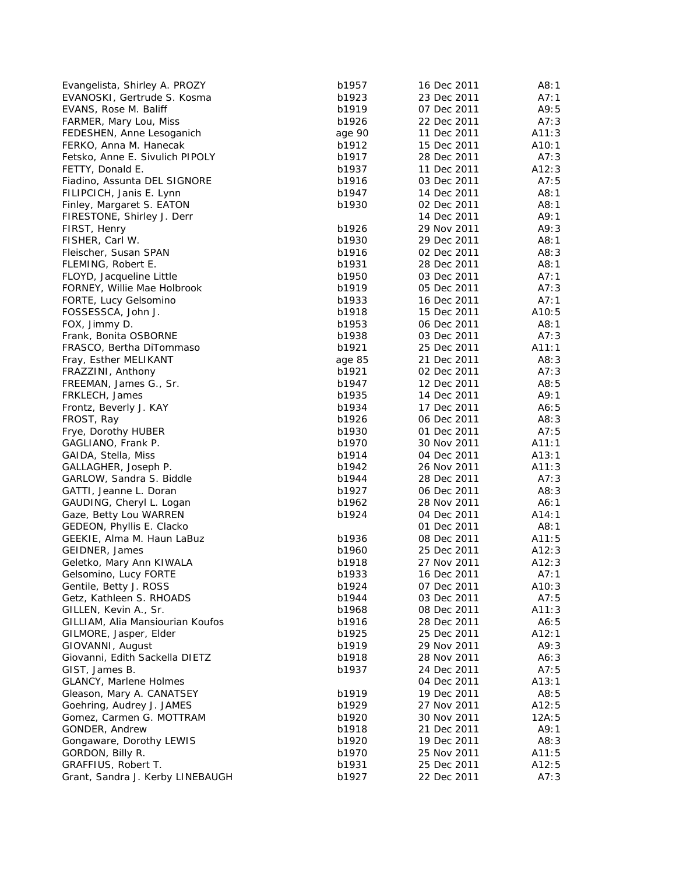| Evangelista, Shirley A. PROZY    | b1957  | 16 Dec 2011 | A8:1  |
|----------------------------------|--------|-------------|-------|
| EVANOSKI, Gertrude S. Kosma      | b1923  | 23 Dec 2011 | A7:1  |
| EVANS, Rose M. Baliff            | b1919  | 07 Dec 2011 | A9:5  |
| FARMER, Mary Lou, Miss           | b1926  | 22 Dec 2011 | A7:3  |
| FEDESHEN, Anne Lesoganich        | age 90 | 11 Dec 2011 | A11:3 |
| FERKO, Anna M. Hanecak           | b1912  | 15 Dec 2011 | A10:1 |
| Fetsko, Anne E. Sivulich PIPOLY  | b1917  | 28 Dec 2011 | A7:3  |
| FETTY, Donald E.                 | b1937  | 11 Dec 2011 | A12:3 |
| Fiadino, Assunta DEL SIGNORE     | b1916  | 03 Dec 2011 | A7:5  |
| FILIPCICH, Janis E. Lynn         | b1947  | 14 Dec 2011 | A8:1  |
| Finley, Margaret S. EATON        | b1930  | 02 Dec 2011 | A8:1  |
| FIRESTONE, Shirley J. Derr       |        | 14 Dec 2011 | A9:1  |
| FIRST, Henry                     | b1926  | 29 Nov 2011 | A9:3  |
| FISHER, Carl W.                  | b1930  | 29 Dec 2011 | A8:1  |
| Fleischer, Susan SPAN            | b1916  | 02 Dec 2011 | A8:3  |
| FLEMING, Robert E.               | b1931  | 28 Dec 2011 | A8:1  |
| FLOYD, Jacqueline Little         | b1950  | 03 Dec 2011 | A7:1  |
| FORNEY, Willie Mae Holbrook      | b1919  | 05 Dec 2011 | A7:3  |
| FORTE, Lucy Gelsomino            | b1933  | 16 Dec 2011 | A7:1  |
| FOSSESSCA, John J.               | b1918  | 15 Dec 2011 | A10:5 |
| FOX, Jimmy D.                    | b1953  | 06 Dec 2011 | A8:1  |
| Frank, Bonita OSBORNE            | b1938  | 03 Dec 2011 | A7:3  |
| FRASCO, Bertha DiTommaso         | b1921  | 25 Dec 2011 | A11:1 |
| Fray, Esther MELIKANT            | age 85 | 21 Dec 2011 | A8:3  |
| FRAZZINI, Anthony                | b1921  | 02 Dec 2011 | A7:3  |
| FREEMAN, James G., Sr.           | b1947  | 12 Dec 2011 | A8:5  |
| FRKLECH, James                   | b1935  | 14 Dec 2011 | A9:1  |
| Frontz, Beverly J. KAY           | b1934  | 17 Dec 2011 | A6:5  |
| FROST, Ray                       | b1926  | 06 Dec 2011 | A8:3  |
| Frye, Dorothy HUBER              | b1930  | 01 Dec 2011 | A7:5  |
| GAGLIANO, Frank P.               | b1970  | 30 Nov 2011 | A11:1 |
| GAIDA, Stella, Miss              | b1914  | 04 Dec 2011 | A13:1 |
| GALLAGHER, Joseph P.             | b1942  | 26 Nov 2011 | A11:3 |
| GARLOW, Sandra S. Biddle         | b1944  | 28 Dec 2011 | A7:3  |
| GATTI, Jeanne L. Doran           | b1927  | 06 Dec 2011 | A8:3  |
| GAUDING, Cheryl L. Logan         | b1962  | 28 Nov 2011 | A6:1  |
| Gaze, Betty Lou WARREN           | b1924  | 04 Dec 2011 | A14:1 |
| GEDEON, Phyllis E. Clacko        |        | 01 Dec 2011 | A8:1  |
| GEEKIE, Alma M. Haun LaBuz       | b1936  | 08 Dec 2011 | A11:5 |
| GEIDNER, James                   | b1960  | 25 Dec 2011 | A12:3 |
| Geletko, Mary Ann KIWALA         | b1918  | 27 Nov 2011 | A12:3 |
| Gelsomino, Lucy FORTE            | b1933  | 16 Dec 2011 | A7:1  |
| Gentile, Betty J. ROSS           | b1924  | 07 Dec 2011 | A10:3 |
| Getz, Kathleen S. RHOADS         | b1944  | 03 Dec 2011 | A7:5  |
| GILLEN, Kevin A., Sr.            | b1968  | 08 Dec 2011 | A11:3 |
| GILLIAM, Alia Mansiourian Koufos | b1916  | 28 Dec 2011 | A6:5  |
| GILMORE, Jasper, Elder           | b1925  | 25 Dec 2011 | A12:1 |
| GIOVANNI, August                 | b1919  | 29 Nov 2011 | A9:3  |
| Giovanni, Edith Sackella DIETZ   | b1918  | 28 Nov 2011 | A6:3  |
| GIST, James B.                   | b1937  | 24 Dec 2011 | A7:5  |
| <b>GLANCY, Marlene Holmes</b>    |        | 04 Dec 2011 | A13:1 |
| Gleason, Mary A. CANATSEY        | b1919  | 19 Dec 2011 | A8:5  |
| Goehring, Audrey J. JAMES        | b1929  | 27 Nov 2011 | A12:5 |
| Gomez, Carmen G. MOTTRAM         | b1920  | 30 Nov 2011 | 12A:5 |
| GONDER, Andrew                   | b1918  | 21 Dec 2011 | A9:1  |
| Gongaware, Dorothy LEWIS         | b1920  | 19 Dec 2011 | A8:3  |
| GORDON, Billy R.                 | b1970  | 25 Nov 2011 | A11:5 |
| GRAFFIUS, Robert T.              | b1931  | 25 Dec 2011 | A12:5 |
| Grant, Sandra J. Kerby LINEBAUGH | b1927  | 22 Dec 2011 | A7:3  |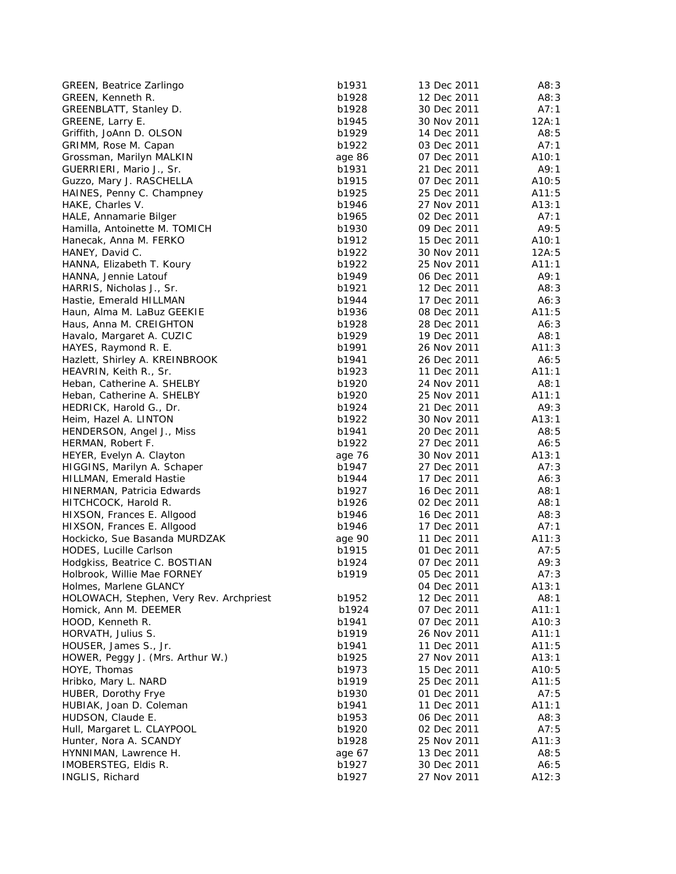| <b>GREEN, Beatrice Zarlingo</b>         | b1931  | 13 Dec 2011 | A8:3  |
|-----------------------------------------|--------|-------------|-------|
| GREEN, Kenneth R.                       | b1928  | 12 Dec 2011 | A8:3  |
| GREENBLATT, Stanley D.                  | b1928  | 30 Dec 2011 | A7:1  |
| GREENE, Larry E.                        | b1945  | 30 Nov 2011 | 12A:1 |
| Griffith, JoAnn D. OLSON                | b1929  | 14 Dec 2011 | A8:5  |
| GRIMM, Rose M. Capan                    | b1922  | 03 Dec 2011 | A7:1  |
| Grossman, Marilyn MALKIN                | age 86 | 07 Dec 2011 | A10:1 |
| GUERRIERI, Mario J., Sr.                | b1931  | 21 Dec 2011 | A9:1  |
| Guzzo, Mary J. RASCHELLA                | b1915  | 07 Dec 2011 | A10:5 |
| HAINES, Penny C. Champney               | b1925  | 25 Dec 2011 | A11:5 |
| HAKE, Charles V.                        | b1946  | 27 Nov 2011 | A13:1 |
| HALE, Annamarie Bilger                  | b1965  | 02 Dec 2011 | A7:1  |
| Hamilla, Antoinette M. TOMICH           | b1930  | 09 Dec 2011 | A9:5  |
| Hanecak, Anna M. FERKO                  | b1912  | 15 Dec 2011 | A10:1 |
| HANEY, David C.                         | b1922  | 30 Nov 2011 | 12A:5 |
| HANNA, Elizabeth T. Koury               | b1922  | 25 Nov 2011 | A11:1 |
| HANNA, Jennie Latouf                    | b1949  | 06 Dec 2011 | A9:1  |
| HARRIS, Nicholas J., Sr.                | b1921  | 12 Dec 2011 | A8:3  |
| Hastie, Emerald HILLMAN                 | b1944  | 17 Dec 2011 | A6:3  |
| Haun, Alma M. LaBuz GEEKIE              | b1936  | 08 Dec 2011 | A11:5 |
| Haus, Anna M. CREIGHTON                 | b1928  | 28 Dec 2011 | A6:3  |
| Havalo, Margaret A. CUZIC               | b1929  | 19 Dec 2011 | A8:1  |
| HAYES, Raymond R. E.                    | b1991  | 26 Nov 2011 | A11:3 |
| Hazlett, Shirley A. KREINBROOK          | b1941  | 26 Dec 2011 | A6:5  |
| HEAVRIN, Keith R., Sr.                  | b1923  | 11 Dec 2011 | A11:1 |
| Heban, Catherine A. SHELBY              | b1920  | 24 Nov 2011 | A8:1  |
| Heban, Catherine A. SHELBY              | b1920  | 25 Nov 2011 | A11:1 |
| HEDRICK, Harold G., Dr.                 | b1924  | 21 Dec 2011 | A9:3  |
| Heim, Hazel A. LINTON                   | b1922  | 30 Nov 2011 | A13:1 |
| HENDERSON, Angel J., Miss               | b1941  | 20 Dec 2011 | A8:5  |
| HERMAN, Robert F.                       | b1922  | 27 Dec 2011 | A6:5  |
| HEYER, Evelyn A. Clayton                | age 76 | 30 Nov 2011 | A13:1 |
| HIGGINS, Marilyn A. Schaper             | b1947  | 27 Dec 2011 | A7:3  |
| HILLMAN, Emerald Hastie                 | b1944  | 17 Dec 2011 | A6:3  |
| HINERMAN, Patricia Edwards              | b1927  | 16 Dec 2011 | A8:1  |
| HITCHCOCK, Harold R.                    | b1926  | 02 Dec 2011 | A8:1  |
| HIXSON, Frances E. Allgood              | b1946  | 16 Dec 2011 | A8:3  |
| HIXSON, Frances E. Allgood              | b1946  | 17 Dec 2011 | A7:1  |
| Hockicko, Sue Basanda MURDZAK           | age 90 | 11 Dec 2011 | A11:3 |
| HODES, Lucille Carlson                  | b1915  | 01 Dec 2011 | A7:5  |
| Hodgkiss, Beatrice C. BOSTIAN           | b1924  | 07 Dec 2011 | A9:3  |
| Holbrook, Willie Mae FORNEY             | b1919  | 05 Dec 2011 | A7:3  |
| Holmes, Marlene GLANCY                  |        | 04 Dec 2011 | A13:1 |
| HOLOWACH, Stephen, Very Rev. Archpriest | b1952  | 12 Dec 2011 | A8:1  |
| Homick, Ann M. DEEMER                   | b1924  | 07 Dec 2011 | A11:1 |
| HOOD, Kenneth R.                        | b1941  | 07 Dec 2011 | A10:3 |
| HORVATH, Julius S.                      | b1919  | 26 Nov 2011 | A11:1 |
| HOUSER, James S., Jr.                   | b1941  | 11 Dec 2011 | A11:5 |
| HOWER, Peggy J. (Mrs. Arthur W.)        | b1925  | 27 Nov 2011 | A13:1 |
| HOYE, Thomas                            | b1973  | 15 Dec 2011 | A10:5 |
| Hribko, Mary L. NARD                    | b1919  | 25 Dec 2011 | A11:5 |
| HUBER, Dorothy Frye                     | b1930  | 01 Dec 2011 | A7:5  |
| HUBIAK, Joan D. Coleman                 | b1941  | 11 Dec 2011 | A11:1 |
| HUDSON, Claude E.                       | b1953  | 06 Dec 2011 | A8:3  |
| Hull, Margaret L. CLAYPOOL              | b1920  | 02 Dec 2011 | A7:5  |
| Hunter, Nora A. SCANDY                  | b1928  | 25 Nov 2011 | A11:3 |
| HYNNIMAN, Lawrence H.                   | age 67 | 13 Dec 2011 | A8:5  |
| IMOBERSTEG, Eldis R.                    | b1927  | 30 Dec 2011 | A6:5  |
| INGLIS, Richard                         | b1927  | 27 Nov 2011 | A12:3 |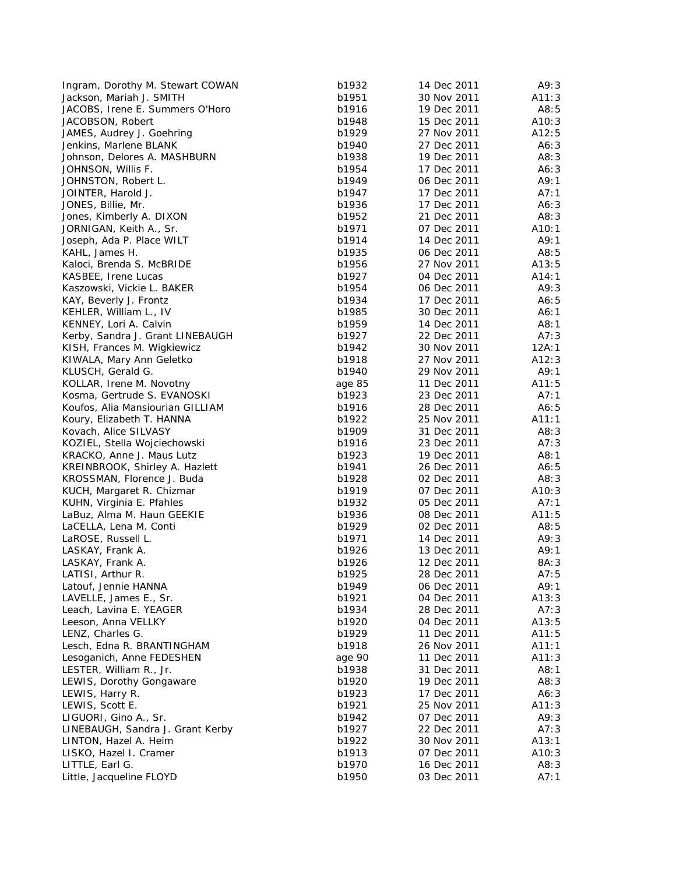| Ingram, Dorothy M. Stewart COWAN | b1932  | 14 Dec 2011                | A9:3  |
|----------------------------------|--------|----------------------------|-------|
| Jackson, Mariah J. SMITH         | b1951  | 30 Nov 2011                | A11:3 |
| JACOBS, Irene E. Summers O'Horo  | b1916  | 19 Dec 2011                | A8:5  |
| JACOBSON, Robert                 | b1948  | 15 Dec 2011                | A10:3 |
| JAMES, Audrey J. Goehring        | b1929  | 27 Nov 2011                | A12:5 |
| Jenkins, Marlene BLANK           | b1940  | 27 Dec 2011                | A6:3  |
| Johnson, Delores A. MASHBURN     | b1938  | 19 Dec 2011                | A8:3  |
| JOHNSON, Willis F.               | b1954  | 17 Dec 2011                | A6:3  |
| JOHNSTON, Robert L.              | b1949  | 06 Dec 2011                | A9:1  |
| JOINTER, Harold J.               | b1947  | 17 Dec 2011                | A7:1  |
| JONES, Billie, Mr.               | b1936  | 17 Dec 2011                | A6:3  |
| Jones, Kimberly A. DIXON         | b1952  | 21 Dec 2011                | A8:3  |
| JORNIGAN, Keith A., Sr.          | b1971  | 07 Dec 2011                | A10:1 |
| Joseph, Ada P. Place WILT        | b1914  | 14 Dec 2011                | A9:1  |
| KAHL, James H.                   | b1935  | 06 Dec 2011                | A8:5  |
| Kaloci, Brenda S. McBRIDE        | b1956  | 27 Nov 2011                | A13:5 |
| KASBEE, Irene Lucas              | b1927  | 04 Dec 2011                | A14:1 |
| Kaszowski, Vickie L. BAKER       | b1954  | 06 Dec 2011                | A9:3  |
| KAY, Beverly J. Frontz           | b1934  | 17 Dec 2011                | A6:5  |
|                                  |        |                            |       |
| KEHLER, William L., IV           | b1985  | 30 Dec 2011<br>14 Dec 2011 | A6:1  |
| KENNEY, Lori A. Calvin           | b1959  |                            | A8:1  |
| Kerby, Sandra J. Grant LINEBAUGH | b1927  | 22 Dec 2011                | A7:3  |
| KISH, Frances M. Wigkiewicz      | b1942  | 30 Nov 2011                | 12A:1 |
| KIWALA, Mary Ann Geletko         | b1918  | 27 Nov 2011                | A12:3 |
| KLUSCH, Gerald G.                | b1940  | 29 Nov 2011                | A9:1  |
| KOLLAR, Irene M. Novotny         | age 85 | 11 Dec 2011                | A11:5 |
| Kosma, Gertrude S. EVANOSKI      | b1923  | 23 Dec 2011                | A7:1  |
| Koufos, Alia Mansiourian GILLIAM | b1916  | 28 Dec 2011                | A6:5  |
| Koury, Elizabeth T. HANNA        | b1922  | 25 Nov 2011                | A11:1 |
| Kovach, Alice SILVASY            | b1909  | 31 Dec 2011                | A8:3  |
| KOZIEL, Stella Wojciechowski     | b1916  | 23 Dec 2011                | A7:3  |
| KRACKO, Anne J. Maus Lutz        | b1923  | 19 Dec 2011                | A8:1  |
| KREINBROOK, Shirley A. Hazlett   | b1941  | 26 Dec 2011                | A6:5  |
| KROSSMAN, Florence J. Buda       | b1928  | 02 Dec 2011                | A8:3  |
| KUCH, Margaret R. Chizmar        | b1919  | 07 Dec 2011                | A10:3 |
| KUHN, Virginia E. Pfahles        | b1932  | 05 Dec 2011                | A7:1  |
| LaBuz, Alma M. Haun GEEKIE       | b1936  | 08 Dec 2011                | A11:5 |
| LaCELLA, Lena M. Conti           | b1929  | 02 Dec 2011                | A8:5  |
| LaROSE, Russell L.               | b1971  | 14 Dec 2011                | A9:3  |
| LASKAY, Frank A.                 | b1926  | 13 Dec 2011                | A9:1  |
| LASKAY, Frank A.                 | b1926  | 12 Dec 2011                | 8A:3  |
| LATISI, Arthur R.                | b1925  | 28 Dec 2011                | A7:5  |
| Latouf, Jennie HANNA             | b1949  | 06 Dec 2011                | A9:1  |
|                                  | b1921  | 04 Dec 2011                | A13:3 |
| LAVELLE, James E., Sr.           |        | 28 Dec 2011                |       |
| Leach, Lavina E. YEAGER          | b1934  |                            | A7:3  |
| Leeson, Anna VELLKY              | b1920  | 04 Dec 2011                | A13:5 |
| LENZ, Charles G.                 | b1929  | 11 Dec 2011                | A11:5 |
| Lesch, Edna R. BRANTINGHAM       | b1918  | 26 Nov 2011                | A11:1 |
| Lesoganich, Anne FEDESHEN        | age 90 | 11 Dec 2011                | A11:3 |
| LESTER, William R., Jr.          | b1938  | 31 Dec 2011                | A8:1  |
| LEWIS, Dorothy Gongaware         | b1920  | 19 Dec 2011                | A8:3  |
| LEWIS, Harry R.                  | b1923  | 17 Dec 2011                | A6:3  |
| LEWIS, Scott E.                  | b1921  | 25 Nov 2011                | A11:3 |
| LIGUORI, Gino A., Sr.            | b1942  | 07 Dec 2011                | A9:3  |
| LINEBAUGH, Sandra J. Grant Kerby | b1927  | 22 Dec 2011                | A7:3  |
| LINTON, Hazel A. Heim            | b1922  | 30 Nov 2011                | A13:1 |
| LISKO, Hazel I. Cramer           | b1913  | 07 Dec 2011                | A10:3 |
| LITTLE, Earl G.                  | b1970  | 16 Dec 2011                | A8:3  |
| Little, Jacqueline FLOYD         | b1950  | 03 Dec 2011                | A7:1  |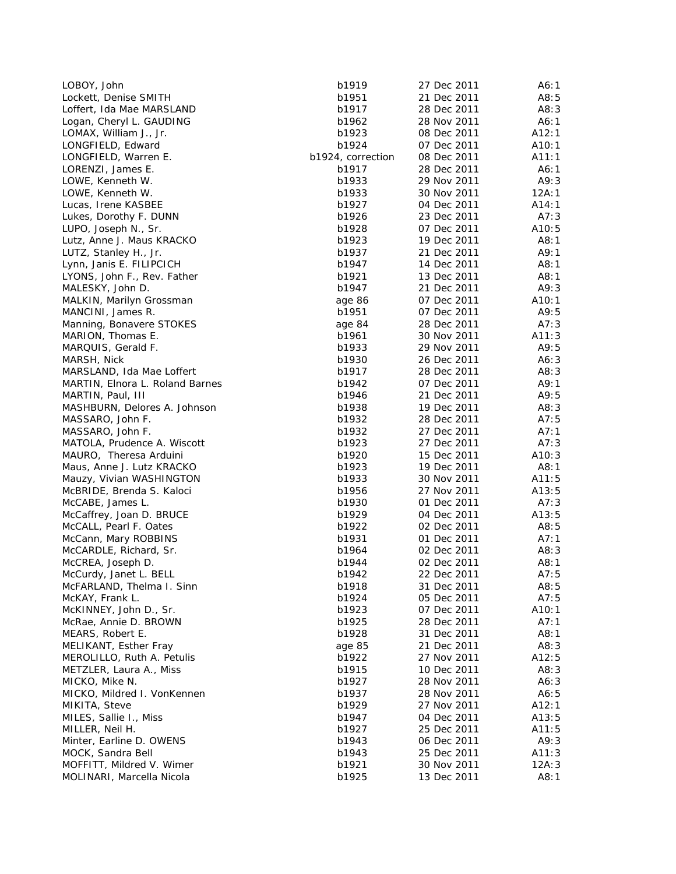| LOBOY, John                     | b1919             | 27 Dec 2011 | A6:1  |
|---------------------------------|-------------------|-------------|-------|
| Lockett, Denise SMITH           | b1951             | 21 Dec 2011 | A8:5  |
| Loffert, Ida Mae MARSLAND       | b1917             | 28 Dec 2011 | A8:3  |
| Logan, Cheryl L. GAUDING        | b1962             | 28 Nov 2011 | A6:1  |
| LOMAX, William J., Jr.          | b1923             | 08 Dec 2011 | A12:1 |
| LONGFIELD, Edward               | b1924             | 07 Dec 2011 | A10:1 |
| LONGFIELD, Warren E.            | b1924, correction | 08 Dec 2011 | A11:1 |
| LORENZI, James E.               | b1917             | 28 Dec 2011 | A6:1  |
| LOWE, Kenneth W.                | b1933             | 29 Nov 2011 | A9:3  |
| LOWE, Kenneth W.                | b1933             | 30 Nov 2011 | 12A:1 |
| Lucas, Irene KASBEE             | b1927             | 04 Dec 2011 | A14:1 |
| Lukes, Dorothy F. DUNN          | b1926             | 23 Dec 2011 | A7:3  |
| LUPO, Joseph N., Sr.            | b1928             | 07 Dec 2011 | A10:5 |
| Lutz, Anne J. Maus KRACKO       | b1923             | 19 Dec 2011 | A8:1  |
| LUTZ, Stanley H., Jr.           | b1937             | 21 Dec 2011 | A9:1  |
| Lynn, Janis E. FILIPCICH        | b1947             | 14 Dec 2011 | A8:1  |
| LYONS, John F., Rev. Father     | b1921             | 13 Dec 2011 | A8:1  |
| MALESKY, John D.                | b1947             | 21 Dec 2011 | A9:3  |
| MALKIN, Marilyn Grossman        | age 86            | 07 Dec 2011 | A10:1 |
| MANCINI, James R.               | b1951             | 07 Dec 2011 | A9:5  |
| Manning, Bonavere STOKES        | age 84            | 28 Dec 2011 | A7:3  |
| MARION, Thomas E.               | b1961             | 30 Nov 2011 | A11:3 |
|                                 | b1933             | 29 Nov 2011 | A9:5  |
| MARQUIS, Gerald F.              |                   |             |       |
| MARSH, Nick                     | b1930             | 26 Dec 2011 | A6:3  |
| MARSLAND, Ida Mae Loffert       | b1917             | 28 Dec 2011 | A8:3  |
| MARTIN, Elnora L. Roland Barnes | b1942             | 07 Dec 2011 | A9:1  |
| MARTIN, Paul, III               | b1946             | 21 Dec 2011 | A9:5  |
| MASHBURN, Delores A. Johnson    | b1938             | 19 Dec 2011 | A8:3  |
| MASSARO, John F.                | b1932             | 28 Dec 2011 | A7:5  |
| MASSARO, John F.                | b1932             | 27 Dec 2011 | A7:1  |
| MATOLA, Prudence A. Wiscott     | b1923             | 27 Dec 2011 | A7:3  |
| MAURO, Theresa Arduini          | b1920             | 15 Dec 2011 | A10:3 |
| Maus, Anne J. Lutz KRACKO       | b1923             | 19 Dec 2011 | A8:1  |
| Mauzy, Vivian WASHINGTON        | b1933             | 30 Nov 2011 | A11:5 |
| McBRIDE, Brenda S. Kaloci       | b1956             | 27 Nov 2011 | A13:5 |
| McCABE, James L.                | b1930             | 01 Dec 2011 | A7:3  |
| McCaffrey, Joan D. BRUCE        | b1929             | 04 Dec 2011 | A13:5 |
| McCALL, Pearl F. Oates          | b1922             | 02 Dec 2011 | A8:5  |
| McCann, Mary ROBBINS            | b1931             | 01 Dec 2011 | A7:1  |
| McCARDLE, Richard, Sr.          | b1964             | 02 Dec 2011 | A8:3  |
| McCREA, Joseph D.               | b1944             | 02 Dec 2011 | A8:1  |
| McCurdy, Janet L. BELL          | b1942             | 22 Dec 2011 | A7:5  |
| McFARLAND, Thelma I. Sinn       | b1918             | 31 Dec 2011 | A8:5  |
| McKAY, Frank L.                 | b1924             | 05 Dec 2011 | A7:5  |
| McKINNEY, John D., Sr.          | b1923             | 07 Dec 2011 | A10:1 |
| McRae, Annie D. BROWN           | b1925             | 28 Dec 2011 | A7:1  |
| MEARS, Robert E.                | b1928             | 31 Dec 2011 | A8:1  |
| MELIKANT, Esther Fray           | age 85            | 21 Dec 2011 | A8:3  |
| MEROLILLO, Ruth A. Petulis      | b1922             | 27 Nov 2011 | A12:5 |
| METZLER, Laura A., Miss         | b1915             | 10 Dec 2011 | A8:3  |
| MICKO, Mike N.                  | b1927             | 28 Nov 2011 | A6:3  |
| MICKO, Mildred I. VonKennen     | b1937             | 28 Nov 2011 | A6:5  |
| MIKITA, Steve                   | b1929             | 27 Nov 2011 | A12:1 |
| MILES, Sallie I., Miss          | b1947             | 04 Dec 2011 | A13:5 |
| MILLER, Neil H.                 | b1927             | 25 Dec 2011 | A11:5 |
| Minter, Earline D. OWENS        | b1943             | 06 Dec 2011 | A9:3  |
| MOCK, Sandra Bell               | b1943             | 25 Dec 2011 | A11:3 |
| MOFFITT, Mildred V. Wimer       | b1921             | 30 Nov 2011 | 12A:3 |
| MOLINARI, Marcella Nicola       | b1925             | 13 Dec 2011 | A8:1  |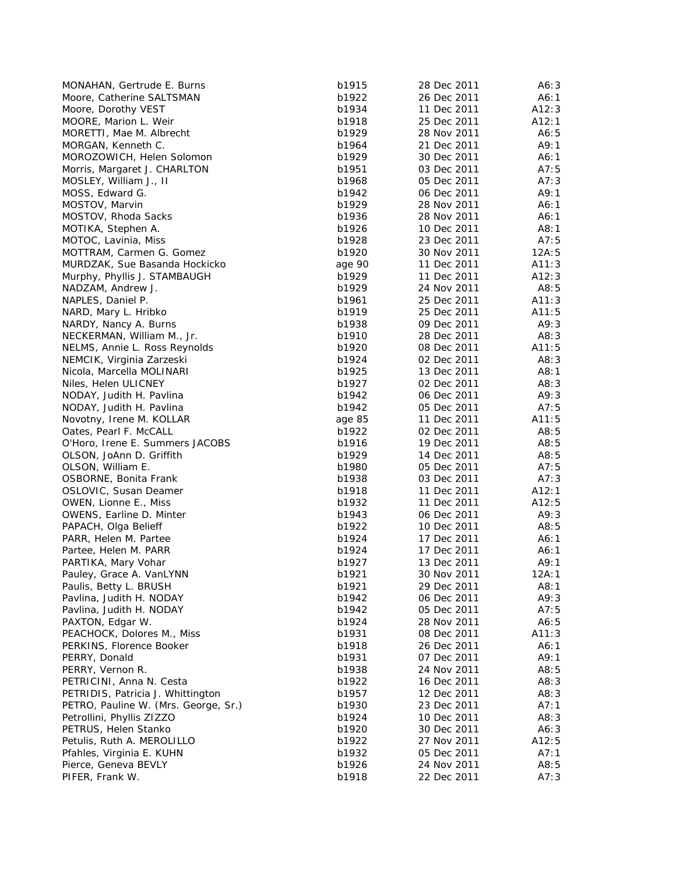| MONAHAN, Gertrude E. Burns           | b1915  | 28 Dec 2011 | A6:3  |
|--------------------------------------|--------|-------------|-------|
| Moore, Catherine SALTSMAN            | b1922  | 26 Dec 2011 | A6:1  |
| Moore, Dorothy VEST                  | b1934  | 11 Dec 2011 | A12:3 |
| MOORE, Marion L. Weir                | b1918  | 25 Dec 2011 | A12:1 |
| MORETTI, Mae M. Albrecht             | b1929  | 28 Nov 2011 | A6:5  |
| MORGAN, Kenneth C.                   | b1964  | 21 Dec 2011 | A9:1  |
| MOROZOWICH, Helen Solomon            | b1929  | 30 Dec 2011 | A6:1  |
| Morris, Margaret J. CHARLTON         | b1951  | 03 Dec 2011 | A7:5  |
| MOSLEY, William J., II               | b1968  | 05 Dec 2011 | A7:3  |
| MOSS, Edward G.                      | b1942  | 06 Dec 2011 | A9:1  |
| MOSTOV, Marvin                       | b1929  | 28 Nov 2011 | A6:1  |
| MOSTOV, Rhoda Sacks                  | b1936  | 28 Nov 2011 | A6:1  |
| MOTIKA, Stephen A.                   | b1926  | 10 Dec 2011 | A8:1  |
| MOTOC, Lavinia, Miss                 | b1928  | 23 Dec 2011 | A7:5  |
| MOTTRAM, Carmen G. Gomez             | b1920  | 30 Nov 2011 | 12A:5 |
| MURDZAK, Sue Basanda Hockicko        | age 90 | 11 Dec 2011 | A11:3 |
| Murphy, Phyllis J. STAMBAUGH         | b1929  | 11 Dec 2011 | A12:3 |
| NADZAM, Andrew J.                    | b1929  | 24 Nov 2011 | A8:5  |
| NAPLES, Daniel P.                    | b1961  | 25 Dec 2011 | A11:3 |
| NARD, Mary L. Hribko                 | b1919  | 25 Dec 2011 | A11:5 |
| NARDY, Nancy A. Burns                | b1938  | 09 Dec 2011 | A9:3  |
| NECKERMAN, William M., Jr.           | b1910  | 28 Dec 2011 | A8:3  |
| NELMS, Annie L. Ross Reynolds        | b1920  | 08 Dec 2011 | A11:5 |
| NEMCIK, Virginia Zarzeski            | b1924  | 02 Dec 2011 | A8:3  |
| Nicola, Marcella MOLINARI            | b1925  | 13 Dec 2011 | A8:1  |
| Niles, Helen ULICNEY                 | b1927  | 02 Dec 2011 | A8:3  |
| NODAY, Judith H. Pavlina             | b1942  | 06 Dec 2011 | A9:3  |
| NODAY, Judith H. Pavlina             | b1942  | 05 Dec 2011 | A7:5  |
| Novotny, Irene M. KOLLAR             | age 85 | 11 Dec 2011 | A11:5 |
| Oates, Pearl F. McCALL               | b1922  | 02 Dec 2011 | A8:5  |
| O'Horo, Irene E. Summers JACOBS      | b1916  | 19 Dec 2011 | A8:5  |
| OLSON, JoAnn D. Griffith             | b1929  | 14 Dec 2011 | A8:5  |
| OLSON, William E.                    | b1980  | 05 Dec 2011 | A7:5  |
| OSBORNE, Bonita Frank                | b1938  | 03 Dec 2011 | A7:3  |
| OSLOVIC, Susan Deamer                | b1918  | 11 Dec 2011 | A12:1 |
| OWEN, Lionne E., Miss                | b1932  | 11 Dec 2011 | A12:5 |
| <b>OWENS, Earline D. Minter</b>      | b1943  | 06 Dec 2011 | A9:3  |
| PAPACH, Olga Belieff                 | b1922  | 10 Dec 2011 | A8:5  |
| PARR, Helen M. Partee                | b1924  | 17 Dec 2011 | A6:1  |
| Partee, Helen M. PARR                | b1924  | 17 Dec 2011 | A6:1  |
| PARTIKA, Mary Vohar                  | b1927  | 13 Dec 2011 | A9:1  |
| Pauley, Grace A. VanLYNN             | b1921  | 30 Nov 2011 | 12A:1 |
| Paulis, Betty L. BRUSH               | b1921  | 29 Dec 2011 | A8:1  |
| Pavlina, Judith H. NODAY             | b1942  | 06 Dec 2011 | A9:3  |
| Pavlina, Judith H. NODAY             | b1942  | 05 Dec 2011 | A7:5  |
| PAXTON, Edgar W.                     | b1924  | 28 Nov 2011 | A6:5  |
| PEACHOCK, Dolores M., Miss           | b1931  | 08 Dec 2011 | A11:3 |
| PERKINS, Florence Booker             | b1918  | 26 Dec 2011 | A6:1  |
| PERRY, Donald                        | b1931  | 07 Dec 2011 | A9:1  |
| PERRY, Vernon R.                     | b1938  | 24 Nov 2011 | A8:5  |
| PETRICINI, Anna N. Cesta             | b1922  | 16 Dec 2011 | A8:3  |
| PETRIDIS, Patricia J. Whittington    | b1957  | 12 Dec 2011 | A8:3  |
| PETRO, Pauline W. (Mrs. George, Sr.) | b1930  | 23 Dec 2011 | A7:1  |
| Petrollini, Phyllis ZIZZO            | b1924  | 10 Dec 2011 | A8:3  |
| PETRUS, Helen Stanko                 | b1920  | 30 Dec 2011 | A6:3  |
| Petulis, Ruth A. MEROLILLO           | b1922  | 27 Nov 2011 | A12:5 |
| Pfahles, Virginia E. KUHN            | b1932  | 05 Dec 2011 | A7:1  |
| Pierce, Geneva BEVLY                 | b1926  | 24 Nov 2011 | A8:5  |
| PIFER, Frank W.                      | b1918  | 22 Dec 2011 | A7:3  |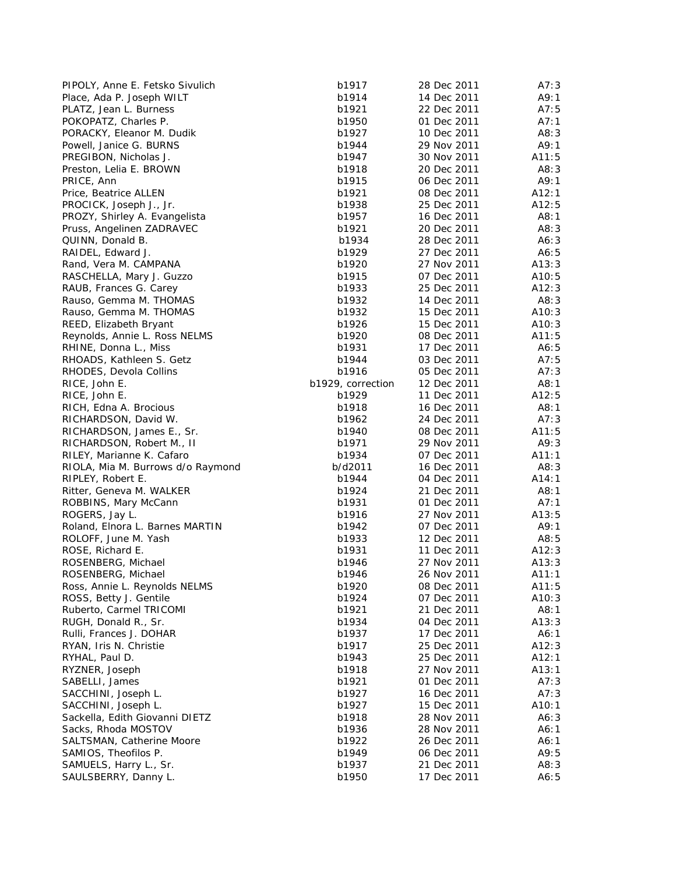| PIPOLY, Anne E. Fetsko Sivulich   | b1917             | 28 Dec 2011 | A7:3  |
|-----------------------------------|-------------------|-------------|-------|
| Place, Ada P. Joseph WILT         | b1914             | 14 Dec 2011 | A9:1  |
| PLATZ, Jean L. Burness            | b1921             | 22 Dec 2011 | A7:5  |
| POKOPATZ, Charles P.              | b1950             | 01 Dec 2011 | A7:1  |
| PORACKY, Eleanor M. Dudik         | b1927             | 10 Dec 2011 | A8:3  |
| Powell, Janice G. BURNS           | b1944             | 29 Nov 2011 | A9:1  |
| PREGIBON, Nicholas J.             | b1947             | 30 Nov 2011 | A11:5 |
| Preston, Lelia E. BROWN           | b1918             | 20 Dec 2011 | A8:3  |
| PRICE, Ann                        | b1915             | 06 Dec 2011 | A9:1  |
| Price, Beatrice ALLEN             | b1921             | 08 Dec 2011 | A12:1 |
| PROCICK, Joseph J., Jr.           | b1938             | 25 Dec 2011 | A12:5 |
| PROZY, Shirley A. Evangelista     | b1957             | 16 Dec 2011 | A8:1  |
| Pruss, Angelinen ZADRAVEC         | b1921             | 20 Dec 2011 | A8:3  |
| QUINN, Donald B.                  | b1934             | 28 Dec 2011 | A6:3  |
| RAIDEL, Edward J.                 | b1929             | 27 Dec 2011 | A6:5  |
| Rand, Vera M. CAMPANA             | b1920             | 27 Nov 2011 | A13:3 |
| RASCHELLA, Mary J. Guzzo          | b1915             | 07 Dec 2011 | A10:5 |
| RAUB, Frances G. Carey            | b1933             | 25 Dec 2011 | A12:3 |
| Rauso, Gemma M. THOMAS            | b1932             | 14 Dec 2011 | A8:3  |
| Rauso, Gemma M. THOMAS            | b1932             | 15 Dec 2011 | A10:3 |
| REED, Elizabeth Bryant            | b1926             | 15 Dec 2011 | A10:3 |
| Reynolds, Annie L. Ross NELMS     | b1920             | 08 Dec 2011 | A11:5 |
| RHINE, Donna L., Miss             | b1931             | 17 Dec 2011 | A6:5  |
| RHOADS, Kathleen S. Getz          | b1944             | 03 Dec 2011 | A7:5  |
| RHODES, Devola Collins            | b1916             | 05 Dec 2011 | A7:3  |
| RICE, John E.                     | b1929, correction | 12 Dec 2011 | A8:1  |
| RICE, John E.                     | b1929             | 11 Dec 2011 | A12:5 |
| RICH, Edna A. Brocious            | b1918             | 16 Dec 2011 | A8:1  |
| RICHARDSON, David W.              | b1962             | 24 Dec 2011 | A7:3  |
| RICHARDSON, James E., Sr.         | b1940             | 08 Dec 2011 | A11:5 |
| RICHARDSON, Robert M., II         | b1971             | 29 Nov 2011 | A9:3  |
| RILEY, Marianne K. Cafaro         | b1934             | 07 Dec 2011 | A11:1 |
| RIOLA, Mia M. Burrows d/o Raymond | b/d2011           | 16 Dec 2011 | A8:3  |
| RIPLEY, Robert E.                 | b1944             | 04 Dec 2011 | A14:1 |
| Ritter, Geneva M. WALKER          | b1924             | 21 Dec 2011 | A8:1  |
| ROBBINS, Mary McCann              | b1931             | 01 Dec 2011 | A7:1  |
| ROGERS, Jay L.                    | b1916             | 27 Nov 2011 | A13:5 |
| Roland, Elnora L. Barnes MARTIN   | b1942             | 07 Dec 2011 | A9:1  |
| ROLOFF, June M. Yash              | b1933             | 12 Dec 2011 | A8:5  |
| ROSE, Richard E.                  | b1931             | 11 Dec 2011 | A12:3 |
| ROSENBERG, Michael                | b1946             | 27 Nov 2011 | A13:3 |
| ROSENBERG, Michael                | b1946             | 26 Nov 2011 | A11:1 |
| Ross, Annie L. Reynolds NELMS     | b1920             | 08 Dec 2011 | A11:5 |
| ROSS, Betty J. Gentile            | b1924             | 07 Dec 2011 | A10:3 |
| Ruberto, Carmel TRICOMI           | b1921             | 21 Dec 2011 | A8:1  |
| RUGH, Donald R., Sr.              | b1934             | 04 Dec 2011 | A13:3 |
| Rulli, Frances J. DOHAR           | b1937             | 17 Dec 2011 | A6:1  |
| RYAN, Iris N. Christie            | b1917             | 25 Dec 2011 | A12:3 |
| RYHAL, Paul D.                    | b1943             | 25 Dec 2011 | A12:1 |
| RYZNER, Joseph                    | b1918             | 27 Nov 2011 | A13:1 |
| SABELLI, James                    | b1921             | 01 Dec 2011 | A7:3  |
| SACCHINI, Joseph L.               | b1927             | 16 Dec 2011 | A7:3  |
| SACCHINI, Joseph L.               | b1927             | 15 Dec 2011 | A10:1 |
| Sackella, Edith Giovanni DIETZ    | b1918             | 28 Nov 2011 | A6:3  |
| Sacks, Rhoda MOSTOV               | b1936             | 28 Nov 2011 | A6:1  |
| SALTSMAN, Catherine Moore         | b1922             | 26 Dec 2011 | A6:1  |
| SAMIOS, Theofilos P.              | b1949             | 06 Dec 2011 | A9:5  |
| SAMUELS, Harry L., Sr.            | b1937             | 21 Dec 2011 | A8:3  |
| SAULSBERRY, Danny L.              | b1950             | 17 Dec 2011 | A6:5  |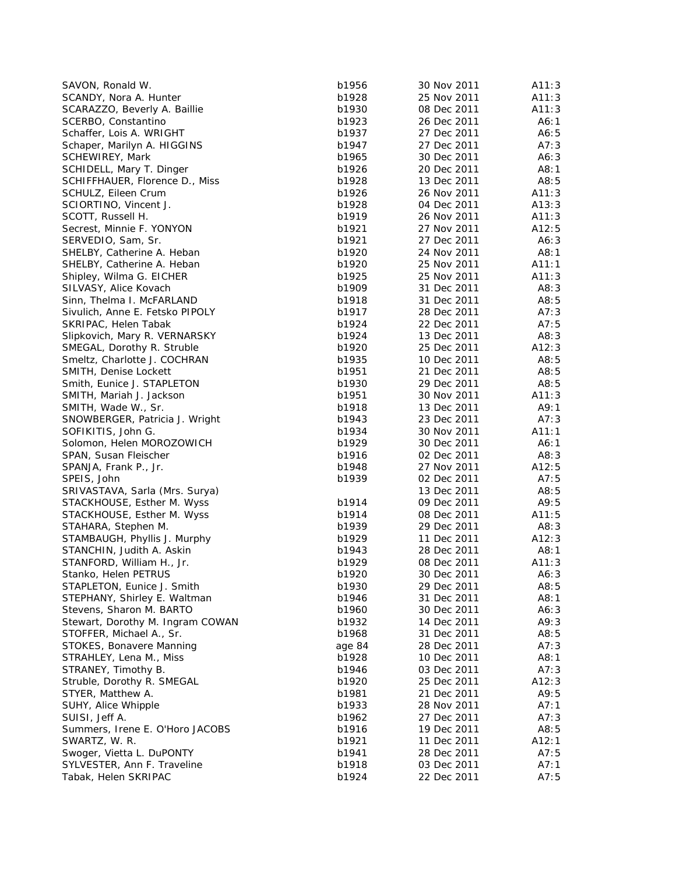| SCANDY, Nora A. Hunter<br>b1928<br>25 Nov 2011<br>A11:3<br>SCARAZZO, Beverly A. Baillie<br>b1930<br>08 Dec 2011<br>A11:3<br>SCERBO, Constantino<br>b1923<br>26 Dec 2011<br>A6:1<br>Schaffer, Lois A. WRIGHT<br>b1937<br>27 Dec 2011<br>A6:5<br>b1947<br>27 Dec 2011<br>A7:3<br>Schaper, Marilyn A. HIGGINS<br>SCHEWIREY, Mark<br>b1965<br>30 Dec 2011<br>A6:3<br>A8:1<br>SCHIDELL, Mary T. Dinger<br>b1926<br>20 Dec 2011<br>SCHIFFHAUER, Florence D., Miss<br>b1928<br>13 Dec 2011<br>A8:5<br>SCHULZ, Eileen Crum<br>b1926<br>26 Nov 2011<br>A11:3<br>SCIORTINO, Vincent J.<br>b1928<br>04 Dec 2011<br>A13:3<br>SCOTT, Russell H.<br>b1919<br>26 Nov 2011<br>A11:3<br>b1921<br>27 Nov 2011<br>A12:5<br>Secrest, Minnie F. YONYON<br>SERVEDIO, Sam, Sr.<br>b1921<br>27 Dec 2011<br>A6:3<br>SHELBY, Catherine A. Heban<br>b1920<br>24 Nov 2011<br>A8:1<br>b1920<br>25 Nov 2011<br>A11:1<br>SHELBY, Catherine A. Heban<br>Shipley, Wilma G. EICHER<br>b1925<br>25 Nov 2011<br>A11:3<br>A8:3<br>SILVASY, Alice Kovach<br>b1909<br>31 Dec 2011<br>Sinn, Thelma I. McFARLAND<br>b1918<br>31 Dec 2011<br>A8:5<br>Sivulich, Anne E. Fetsko PIPOLY<br>b1917<br>28 Dec 2011<br>A7:3<br>b1924<br>22 Dec 2011<br>A7:5<br>SKRIPAC, Helen Tabak<br>Slipkovich, Mary R. VERNARSKY<br>b1924<br>13 Dec 2011<br>A8:3<br>A12:3<br>SMEGAL, Dorothy R. Struble<br>b1920<br>25 Dec 2011<br>Smeltz, Charlotte J. COCHRAN<br>b1935<br>10 Dec 2011<br>A8:5<br>SMITH, Denise Lockett<br>b1951<br>21 Dec 2011<br>A8:5<br>b1930<br>29 Dec 2011<br>A8:5<br>Smith, Eunice J. STAPLETON<br>b1951<br>30 Nov 2011<br>A11:3<br>SMITH, Mariah J. Jackson<br>A9:1<br>b1918<br>13 Dec 2011<br>SMITH, Wade W., Sr.<br>b1943<br>23 Dec 2011<br>A7:3<br>SNOWBERGER, Patricia J. Wright<br>SOFIKITIS, John G.<br>30 Nov 2011<br>A11:1<br>b1934<br>Solomon, Helen MOROZOWICH<br>b1929<br>30 Dec 2011<br>A6:1<br>A8:3<br>SPAN, Susan Fleischer<br>b1916<br>02 Dec 2011<br>b1948<br>27 Nov 2011<br>A12:5<br>SPANJA, Frank P., Jr.<br>SPEIS, John<br>b1939<br>02 Dec 2011<br>A7:5<br>SRIVASTAVA, Sarla (Mrs. Surya)<br>13 Dec 2011<br>A8:5<br>b1914<br>09 Dec 2011<br>A9:5<br>STACKHOUSE, Esther M. Wyss<br>STACKHOUSE, Esther M. Wyss<br>b1914<br>08 Dec 2011<br>A11:5<br>STAHARA, Stephen M.<br>b1939<br>29 Dec 2011<br>A8:3<br>A12:3<br>b1929<br>11 Dec 2011<br>STAMBAUGH, Phyllis J. Murphy<br>STANCHIN, Judith A. Askin<br>b1943<br>28 Dec 2011<br>A8:1<br>STANFORD, William H., Jr.<br>b1929<br>08 Dec 2011<br>A11:3<br>Stanko, Helen PETRUS<br>b1920<br>30 Dec 2011<br>A6:3<br>STAPLETON, Eunice J. Smith<br>b1930<br>A8:5<br>29 Dec 2011<br>STEPHANY, Shirley E. Waltman<br>b1946<br>31 Dec 2011<br>A8:1<br>Stevens, Sharon M. BARTO<br>b1960<br>30 Dec 2011<br>A6:3<br>Stewart, Dorothy M. Ingram COWAN<br>b1932<br>14 Dec 2011<br>A9:3<br>STOFFER, Michael A., Sr.<br>b1968<br>31 Dec 2011<br>A8:5<br>STOKES, Bonavere Manning<br>A7:3<br>age 84<br>28 Dec 2011<br>STRAHLEY, Lena M., Miss<br>b1928<br>10 Dec 2011<br>A8:1<br>STRANEY, Timothy B.<br>b1946<br>03 Dec 2011<br>A7:3<br>Struble, Dorothy R. SMEGAL<br>b1920<br>25 Dec 2011<br>A12:3<br>STYER, Matthew A.<br>b1981<br>21 Dec 2011<br>A9:5<br>SUHY, Alice Whipple<br>b1933<br>28 Nov 2011<br>A7:1<br>SUISI, Jeff A.<br>b1962<br>27 Dec 2011<br>A7:3<br>Summers, Irene E. O'Horo JACOBS<br>b1916<br>19 Dec 2011<br>A8:5<br>SWARTZ, W. R.<br>b1921<br>11 Dec 2011<br>A12:1<br>Swoger, Vietta L. DuPONTY<br>b1941<br>28 Dec 2011<br>A7:5<br>SYLVESTER, Ann F. Traveline<br>b1918<br>03 Dec 2011<br>A7:1<br>Tabak, Helen SKRIPAC<br>A7:5<br>b1924<br>22 Dec 2011 | SAVON, Ronald W. | b1956 | 30 Nov 2011 | A11:3 |
|---------------------------------------------------------------------------------------------------------------------------------------------------------------------------------------------------------------------------------------------------------------------------------------------------------------------------------------------------------------------------------------------------------------------------------------------------------------------------------------------------------------------------------------------------------------------------------------------------------------------------------------------------------------------------------------------------------------------------------------------------------------------------------------------------------------------------------------------------------------------------------------------------------------------------------------------------------------------------------------------------------------------------------------------------------------------------------------------------------------------------------------------------------------------------------------------------------------------------------------------------------------------------------------------------------------------------------------------------------------------------------------------------------------------------------------------------------------------------------------------------------------------------------------------------------------------------------------------------------------------------------------------------------------------------------------------------------------------------------------------------------------------------------------------------------------------------------------------------------------------------------------------------------------------------------------------------------------------------------------------------------------------------------------------------------------------------------------------------------------------------------------------------------------------------------------------------------------------------------------------------------------------------------------------------------------------------------------------------------------------------------------------------------------------------------------------------------------------------------------------------------------------------------------------------------------------------------------------------------------------------------------------------------------------------------------------------------------------------------------------------------------------------------------------------------------------------------------------------------------------------------------------------------------------------------------------------------------------------------------------------------------------------------------------------------------------------------------------------------------------------------------------------------------------------------------------------------------------------------------------------------------------------------------------------------------------------------------------------------------------------------------------------------------------------------------------------------------------------------------------------------------------------------------------------------------------------------------|------------------|-------|-------------|-------|
|                                                                                                                                                                                                                                                                                                                                                                                                                                                                                                                                                                                                                                                                                                                                                                                                                                                                                                                                                                                                                                                                                                                                                                                                                                                                                                                                                                                                                                                                                                                                                                                                                                                                                                                                                                                                                                                                                                                                                                                                                                                                                                                                                                                                                                                                                                                                                                                                                                                                                                                                                                                                                                                                                                                                                                                                                                                                                                                                                                                                                                                                                                                                                                                                                                                                                                                                                                                                                                                                                                                                                                                       |                  |       |             |       |
|                                                                                                                                                                                                                                                                                                                                                                                                                                                                                                                                                                                                                                                                                                                                                                                                                                                                                                                                                                                                                                                                                                                                                                                                                                                                                                                                                                                                                                                                                                                                                                                                                                                                                                                                                                                                                                                                                                                                                                                                                                                                                                                                                                                                                                                                                                                                                                                                                                                                                                                                                                                                                                                                                                                                                                                                                                                                                                                                                                                                                                                                                                                                                                                                                                                                                                                                                                                                                                                                                                                                                                                       |                  |       |             |       |
|                                                                                                                                                                                                                                                                                                                                                                                                                                                                                                                                                                                                                                                                                                                                                                                                                                                                                                                                                                                                                                                                                                                                                                                                                                                                                                                                                                                                                                                                                                                                                                                                                                                                                                                                                                                                                                                                                                                                                                                                                                                                                                                                                                                                                                                                                                                                                                                                                                                                                                                                                                                                                                                                                                                                                                                                                                                                                                                                                                                                                                                                                                                                                                                                                                                                                                                                                                                                                                                                                                                                                                                       |                  |       |             |       |
|                                                                                                                                                                                                                                                                                                                                                                                                                                                                                                                                                                                                                                                                                                                                                                                                                                                                                                                                                                                                                                                                                                                                                                                                                                                                                                                                                                                                                                                                                                                                                                                                                                                                                                                                                                                                                                                                                                                                                                                                                                                                                                                                                                                                                                                                                                                                                                                                                                                                                                                                                                                                                                                                                                                                                                                                                                                                                                                                                                                                                                                                                                                                                                                                                                                                                                                                                                                                                                                                                                                                                                                       |                  |       |             |       |
|                                                                                                                                                                                                                                                                                                                                                                                                                                                                                                                                                                                                                                                                                                                                                                                                                                                                                                                                                                                                                                                                                                                                                                                                                                                                                                                                                                                                                                                                                                                                                                                                                                                                                                                                                                                                                                                                                                                                                                                                                                                                                                                                                                                                                                                                                                                                                                                                                                                                                                                                                                                                                                                                                                                                                                                                                                                                                                                                                                                                                                                                                                                                                                                                                                                                                                                                                                                                                                                                                                                                                                                       |                  |       |             |       |
|                                                                                                                                                                                                                                                                                                                                                                                                                                                                                                                                                                                                                                                                                                                                                                                                                                                                                                                                                                                                                                                                                                                                                                                                                                                                                                                                                                                                                                                                                                                                                                                                                                                                                                                                                                                                                                                                                                                                                                                                                                                                                                                                                                                                                                                                                                                                                                                                                                                                                                                                                                                                                                                                                                                                                                                                                                                                                                                                                                                                                                                                                                                                                                                                                                                                                                                                                                                                                                                                                                                                                                                       |                  |       |             |       |
|                                                                                                                                                                                                                                                                                                                                                                                                                                                                                                                                                                                                                                                                                                                                                                                                                                                                                                                                                                                                                                                                                                                                                                                                                                                                                                                                                                                                                                                                                                                                                                                                                                                                                                                                                                                                                                                                                                                                                                                                                                                                                                                                                                                                                                                                                                                                                                                                                                                                                                                                                                                                                                                                                                                                                                                                                                                                                                                                                                                                                                                                                                                                                                                                                                                                                                                                                                                                                                                                                                                                                                                       |                  |       |             |       |
|                                                                                                                                                                                                                                                                                                                                                                                                                                                                                                                                                                                                                                                                                                                                                                                                                                                                                                                                                                                                                                                                                                                                                                                                                                                                                                                                                                                                                                                                                                                                                                                                                                                                                                                                                                                                                                                                                                                                                                                                                                                                                                                                                                                                                                                                                                                                                                                                                                                                                                                                                                                                                                                                                                                                                                                                                                                                                                                                                                                                                                                                                                                                                                                                                                                                                                                                                                                                                                                                                                                                                                                       |                  |       |             |       |
|                                                                                                                                                                                                                                                                                                                                                                                                                                                                                                                                                                                                                                                                                                                                                                                                                                                                                                                                                                                                                                                                                                                                                                                                                                                                                                                                                                                                                                                                                                                                                                                                                                                                                                                                                                                                                                                                                                                                                                                                                                                                                                                                                                                                                                                                                                                                                                                                                                                                                                                                                                                                                                                                                                                                                                                                                                                                                                                                                                                                                                                                                                                                                                                                                                                                                                                                                                                                                                                                                                                                                                                       |                  |       |             |       |
|                                                                                                                                                                                                                                                                                                                                                                                                                                                                                                                                                                                                                                                                                                                                                                                                                                                                                                                                                                                                                                                                                                                                                                                                                                                                                                                                                                                                                                                                                                                                                                                                                                                                                                                                                                                                                                                                                                                                                                                                                                                                                                                                                                                                                                                                                                                                                                                                                                                                                                                                                                                                                                                                                                                                                                                                                                                                                                                                                                                                                                                                                                                                                                                                                                                                                                                                                                                                                                                                                                                                                                                       |                  |       |             |       |
|                                                                                                                                                                                                                                                                                                                                                                                                                                                                                                                                                                                                                                                                                                                                                                                                                                                                                                                                                                                                                                                                                                                                                                                                                                                                                                                                                                                                                                                                                                                                                                                                                                                                                                                                                                                                                                                                                                                                                                                                                                                                                                                                                                                                                                                                                                                                                                                                                                                                                                                                                                                                                                                                                                                                                                                                                                                                                                                                                                                                                                                                                                                                                                                                                                                                                                                                                                                                                                                                                                                                                                                       |                  |       |             |       |
|                                                                                                                                                                                                                                                                                                                                                                                                                                                                                                                                                                                                                                                                                                                                                                                                                                                                                                                                                                                                                                                                                                                                                                                                                                                                                                                                                                                                                                                                                                                                                                                                                                                                                                                                                                                                                                                                                                                                                                                                                                                                                                                                                                                                                                                                                                                                                                                                                                                                                                                                                                                                                                                                                                                                                                                                                                                                                                                                                                                                                                                                                                                                                                                                                                                                                                                                                                                                                                                                                                                                                                                       |                  |       |             |       |
|                                                                                                                                                                                                                                                                                                                                                                                                                                                                                                                                                                                                                                                                                                                                                                                                                                                                                                                                                                                                                                                                                                                                                                                                                                                                                                                                                                                                                                                                                                                                                                                                                                                                                                                                                                                                                                                                                                                                                                                                                                                                                                                                                                                                                                                                                                                                                                                                                                                                                                                                                                                                                                                                                                                                                                                                                                                                                                                                                                                                                                                                                                                                                                                                                                                                                                                                                                                                                                                                                                                                                                                       |                  |       |             |       |
|                                                                                                                                                                                                                                                                                                                                                                                                                                                                                                                                                                                                                                                                                                                                                                                                                                                                                                                                                                                                                                                                                                                                                                                                                                                                                                                                                                                                                                                                                                                                                                                                                                                                                                                                                                                                                                                                                                                                                                                                                                                                                                                                                                                                                                                                                                                                                                                                                                                                                                                                                                                                                                                                                                                                                                                                                                                                                                                                                                                                                                                                                                                                                                                                                                                                                                                                                                                                                                                                                                                                                                                       |                  |       |             |       |
|                                                                                                                                                                                                                                                                                                                                                                                                                                                                                                                                                                                                                                                                                                                                                                                                                                                                                                                                                                                                                                                                                                                                                                                                                                                                                                                                                                                                                                                                                                                                                                                                                                                                                                                                                                                                                                                                                                                                                                                                                                                                                                                                                                                                                                                                                                                                                                                                                                                                                                                                                                                                                                                                                                                                                                                                                                                                                                                                                                                                                                                                                                                                                                                                                                                                                                                                                                                                                                                                                                                                                                                       |                  |       |             |       |
|                                                                                                                                                                                                                                                                                                                                                                                                                                                                                                                                                                                                                                                                                                                                                                                                                                                                                                                                                                                                                                                                                                                                                                                                                                                                                                                                                                                                                                                                                                                                                                                                                                                                                                                                                                                                                                                                                                                                                                                                                                                                                                                                                                                                                                                                                                                                                                                                                                                                                                                                                                                                                                                                                                                                                                                                                                                                                                                                                                                                                                                                                                                                                                                                                                                                                                                                                                                                                                                                                                                                                                                       |                  |       |             |       |
|                                                                                                                                                                                                                                                                                                                                                                                                                                                                                                                                                                                                                                                                                                                                                                                                                                                                                                                                                                                                                                                                                                                                                                                                                                                                                                                                                                                                                                                                                                                                                                                                                                                                                                                                                                                                                                                                                                                                                                                                                                                                                                                                                                                                                                                                                                                                                                                                                                                                                                                                                                                                                                                                                                                                                                                                                                                                                                                                                                                                                                                                                                                                                                                                                                                                                                                                                                                                                                                                                                                                                                                       |                  |       |             |       |
|                                                                                                                                                                                                                                                                                                                                                                                                                                                                                                                                                                                                                                                                                                                                                                                                                                                                                                                                                                                                                                                                                                                                                                                                                                                                                                                                                                                                                                                                                                                                                                                                                                                                                                                                                                                                                                                                                                                                                                                                                                                                                                                                                                                                                                                                                                                                                                                                                                                                                                                                                                                                                                                                                                                                                                                                                                                                                                                                                                                                                                                                                                                                                                                                                                                                                                                                                                                                                                                                                                                                                                                       |                  |       |             |       |
|                                                                                                                                                                                                                                                                                                                                                                                                                                                                                                                                                                                                                                                                                                                                                                                                                                                                                                                                                                                                                                                                                                                                                                                                                                                                                                                                                                                                                                                                                                                                                                                                                                                                                                                                                                                                                                                                                                                                                                                                                                                                                                                                                                                                                                                                                                                                                                                                                                                                                                                                                                                                                                                                                                                                                                                                                                                                                                                                                                                                                                                                                                                                                                                                                                                                                                                                                                                                                                                                                                                                                                                       |                  |       |             |       |
|                                                                                                                                                                                                                                                                                                                                                                                                                                                                                                                                                                                                                                                                                                                                                                                                                                                                                                                                                                                                                                                                                                                                                                                                                                                                                                                                                                                                                                                                                                                                                                                                                                                                                                                                                                                                                                                                                                                                                                                                                                                                                                                                                                                                                                                                                                                                                                                                                                                                                                                                                                                                                                                                                                                                                                                                                                                                                                                                                                                                                                                                                                                                                                                                                                                                                                                                                                                                                                                                                                                                                                                       |                  |       |             |       |
|                                                                                                                                                                                                                                                                                                                                                                                                                                                                                                                                                                                                                                                                                                                                                                                                                                                                                                                                                                                                                                                                                                                                                                                                                                                                                                                                                                                                                                                                                                                                                                                                                                                                                                                                                                                                                                                                                                                                                                                                                                                                                                                                                                                                                                                                                                                                                                                                                                                                                                                                                                                                                                                                                                                                                                                                                                                                                                                                                                                                                                                                                                                                                                                                                                                                                                                                                                                                                                                                                                                                                                                       |                  |       |             |       |
|                                                                                                                                                                                                                                                                                                                                                                                                                                                                                                                                                                                                                                                                                                                                                                                                                                                                                                                                                                                                                                                                                                                                                                                                                                                                                                                                                                                                                                                                                                                                                                                                                                                                                                                                                                                                                                                                                                                                                                                                                                                                                                                                                                                                                                                                                                                                                                                                                                                                                                                                                                                                                                                                                                                                                                                                                                                                                                                                                                                                                                                                                                                                                                                                                                                                                                                                                                                                                                                                                                                                                                                       |                  |       |             |       |
|                                                                                                                                                                                                                                                                                                                                                                                                                                                                                                                                                                                                                                                                                                                                                                                                                                                                                                                                                                                                                                                                                                                                                                                                                                                                                                                                                                                                                                                                                                                                                                                                                                                                                                                                                                                                                                                                                                                                                                                                                                                                                                                                                                                                                                                                                                                                                                                                                                                                                                                                                                                                                                                                                                                                                                                                                                                                                                                                                                                                                                                                                                                                                                                                                                                                                                                                                                                                                                                                                                                                                                                       |                  |       |             |       |
|                                                                                                                                                                                                                                                                                                                                                                                                                                                                                                                                                                                                                                                                                                                                                                                                                                                                                                                                                                                                                                                                                                                                                                                                                                                                                                                                                                                                                                                                                                                                                                                                                                                                                                                                                                                                                                                                                                                                                                                                                                                                                                                                                                                                                                                                                                                                                                                                                                                                                                                                                                                                                                                                                                                                                                                                                                                                                                                                                                                                                                                                                                                                                                                                                                                                                                                                                                                                                                                                                                                                                                                       |                  |       |             |       |
|                                                                                                                                                                                                                                                                                                                                                                                                                                                                                                                                                                                                                                                                                                                                                                                                                                                                                                                                                                                                                                                                                                                                                                                                                                                                                                                                                                                                                                                                                                                                                                                                                                                                                                                                                                                                                                                                                                                                                                                                                                                                                                                                                                                                                                                                                                                                                                                                                                                                                                                                                                                                                                                                                                                                                                                                                                                                                                                                                                                                                                                                                                                                                                                                                                                                                                                                                                                                                                                                                                                                                                                       |                  |       |             |       |
|                                                                                                                                                                                                                                                                                                                                                                                                                                                                                                                                                                                                                                                                                                                                                                                                                                                                                                                                                                                                                                                                                                                                                                                                                                                                                                                                                                                                                                                                                                                                                                                                                                                                                                                                                                                                                                                                                                                                                                                                                                                                                                                                                                                                                                                                                                                                                                                                                                                                                                                                                                                                                                                                                                                                                                                                                                                                                                                                                                                                                                                                                                                                                                                                                                                                                                                                                                                                                                                                                                                                                                                       |                  |       |             |       |
|                                                                                                                                                                                                                                                                                                                                                                                                                                                                                                                                                                                                                                                                                                                                                                                                                                                                                                                                                                                                                                                                                                                                                                                                                                                                                                                                                                                                                                                                                                                                                                                                                                                                                                                                                                                                                                                                                                                                                                                                                                                                                                                                                                                                                                                                                                                                                                                                                                                                                                                                                                                                                                                                                                                                                                                                                                                                                                                                                                                                                                                                                                                                                                                                                                                                                                                                                                                                                                                                                                                                                                                       |                  |       |             |       |
|                                                                                                                                                                                                                                                                                                                                                                                                                                                                                                                                                                                                                                                                                                                                                                                                                                                                                                                                                                                                                                                                                                                                                                                                                                                                                                                                                                                                                                                                                                                                                                                                                                                                                                                                                                                                                                                                                                                                                                                                                                                                                                                                                                                                                                                                                                                                                                                                                                                                                                                                                                                                                                                                                                                                                                                                                                                                                                                                                                                                                                                                                                                                                                                                                                                                                                                                                                                                                                                                                                                                                                                       |                  |       |             |       |
|                                                                                                                                                                                                                                                                                                                                                                                                                                                                                                                                                                                                                                                                                                                                                                                                                                                                                                                                                                                                                                                                                                                                                                                                                                                                                                                                                                                                                                                                                                                                                                                                                                                                                                                                                                                                                                                                                                                                                                                                                                                                                                                                                                                                                                                                                                                                                                                                                                                                                                                                                                                                                                                                                                                                                                                                                                                                                                                                                                                                                                                                                                                                                                                                                                                                                                                                                                                                                                                                                                                                                                                       |                  |       |             |       |
|                                                                                                                                                                                                                                                                                                                                                                                                                                                                                                                                                                                                                                                                                                                                                                                                                                                                                                                                                                                                                                                                                                                                                                                                                                                                                                                                                                                                                                                                                                                                                                                                                                                                                                                                                                                                                                                                                                                                                                                                                                                                                                                                                                                                                                                                                                                                                                                                                                                                                                                                                                                                                                                                                                                                                                                                                                                                                                                                                                                                                                                                                                                                                                                                                                                                                                                                                                                                                                                                                                                                                                                       |                  |       |             |       |
|                                                                                                                                                                                                                                                                                                                                                                                                                                                                                                                                                                                                                                                                                                                                                                                                                                                                                                                                                                                                                                                                                                                                                                                                                                                                                                                                                                                                                                                                                                                                                                                                                                                                                                                                                                                                                                                                                                                                                                                                                                                                                                                                                                                                                                                                                                                                                                                                                                                                                                                                                                                                                                                                                                                                                                                                                                                                                                                                                                                                                                                                                                                                                                                                                                                                                                                                                                                                                                                                                                                                                                                       |                  |       |             |       |
|                                                                                                                                                                                                                                                                                                                                                                                                                                                                                                                                                                                                                                                                                                                                                                                                                                                                                                                                                                                                                                                                                                                                                                                                                                                                                                                                                                                                                                                                                                                                                                                                                                                                                                                                                                                                                                                                                                                                                                                                                                                                                                                                                                                                                                                                                                                                                                                                                                                                                                                                                                                                                                                                                                                                                                                                                                                                                                                                                                                                                                                                                                                                                                                                                                                                                                                                                                                                                                                                                                                                                                                       |                  |       |             |       |
|                                                                                                                                                                                                                                                                                                                                                                                                                                                                                                                                                                                                                                                                                                                                                                                                                                                                                                                                                                                                                                                                                                                                                                                                                                                                                                                                                                                                                                                                                                                                                                                                                                                                                                                                                                                                                                                                                                                                                                                                                                                                                                                                                                                                                                                                                                                                                                                                                                                                                                                                                                                                                                                                                                                                                                                                                                                                                                                                                                                                                                                                                                                                                                                                                                                                                                                                                                                                                                                                                                                                                                                       |                  |       |             |       |
|                                                                                                                                                                                                                                                                                                                                                                                                                                                                                                                                                                                                                                                                                                                                                                                                                                                                                                                                                                                                                                                                                                                                                                                                                                                                                                                                                                                                                                                                                                                                                                                                                                                                                                                                                                                                                                                                                                                                                                                                                                                                                                                                                                                                                                                                                                                                                                                                                                                                                                                                                                                                                                                                                                                                                                                                                                                                                                                                                                                                                                                                                                                                                                                                                                                                                                                                                                                                                                                                                                                                                                                       |                  |       |             |       |
|                                                                                                                                                                                                                                                                                                                                                                                                                                                                                                                                                                                                                                                                                                                                                                                                                                                                                                                                                                                                                                                                                                                                                                                                                                                                                                                                                                                                                                                                                                                                                                                                                                                                                                                                                                                                                                                                                                                                                                                                                                                                                                                                                                                                                                                                                                                                                                                                                                                                                                                                                                                                                                                                                                                                                                                                                                                                                                                                                                                                                                                                                                                                                                                                                                                                                                                                                                                                                                                                                                                                                                                       |                  |       |             |       |
|                                                                                                                                                                                                                                                                                                                                                                                                                                                                                                                                                                                                                                                                                                                                                                                                                                                                                                                                                                                                                                                                                                                                                                                                                                                                                                                                                                                                                                                                                                                                                                                                                                                                                                                                                                                                                                                                                                                                                                                                                                                                                                                                                                                                                                                                                                                                                                                                                                                                                                                                                                                                                                                                                                                                                                                                                                                                                                                                                                                                                                                                                                                                                                                                                                                                                                                                                                                                                                                                                                                                                                                       |                  |       |             |       |
|                                                                                                                                                                                                                                                                                                                                                                                                                                                                                                                                                                                                                                                                                                                                                                                                                                                                                                                                                                                                                                                                                                                                                                                                                                                                                                                                                                                                                                                                                                                                                                                                                                                                                                                                                                                                                                                                                                                                                                                                                                                                                                                                                                                                                                                                                                                                                                                                                                                                                                                                                                                                                                                                                                                                                                                                                                                                                                                                                                                                                                                                                                                                                                                                                                                                                                                                                                                                                                                                                                                                                                                       |                  |       |             |       |
|                                                                                                                                                                                                                                                                                                                                                                                                                                                                                                                                                                                                                                                                                                                                                                                                                                                                                                                                                                                                                                                                                                                                                                                                                                                                                                                                                                                                                                                                                                                                                                                                                                                                                                                                                                                                                                                                                                                                                                                                                                                                                                                                                                                                                                                                                                                                                                                                                                                                                                                                                                                                                                                                                                                                                                                                                                                                                                                                                                                                                                                                                                                                                                                                                                                                                                                                                                                                                                                                                                                                                                                       |                  |       |             |       |
|                                                                                                                                                                                                                                                                                                                                                                                                                                                                                                                                                                                                                                                                                                                                                                                                                                                                                                                                                                                                                                                                                                                                                                                                                                                                                                                                                                                                                                                                                                                                                                                                                                                                                                                                                                                                                                                                                                                                                                                                                                                                                                                                                                                                                                                                                                                                                                                                                                                                                                                                                                                                                                                                                                                                                                                                                                                                                                                                                                                                                                                                                                                                                                                                                                                                                                                                                                                                                                                                                                                                                                                       |                  |       |             |       |
|                                                                                                                                                                                                                                                                                                                                                                                                                                                                                                                                                                                                                                                                                                                                                                                                                                                                                                                                                                                                                                                                                                                                                                                                                                                                                                                                                                                                                                                                                                                                                                                                                                                                                                                                                                                                                                                                                                                                                                                                                                                                                                                                                                                                                                                                                                                                                                                                                                                                                                                                                                                                                                                                                                                                                                                                                                                                                                                                                                                                                                                                                                                                                                                                                                                                                                                                                                                                                                                                                                                                                                                       |                  |       |             |       |
|                                                                                                                                                                                                                                                                                                                                                                                                                                                                                                                                                                                                                                                                                                                                                                                                                                                                                                                                                                                                                                                                                                                                                                                                                                                                                                                                                                                                                                                                                                                                                                                                                                                                                                                                                                                                                                                                                                                                                                                                                                                                                                                                                                                                                                                                                                                                                                                                                                                                                                                                                                                                                                                                                                                                                                                                                                                                                                                                                                                                                                                                                                                                                                                                                                                                                                                                                                                                                                                                                                                                                                                       |                  |       |             |       |
|                                                                                                                                                                                                                                                                                                                                                                                                                                                                                                                                                                                                                                                                                                                                                                                                                                                                                                                                                                                                                                                                                                                                                                                                                                                                                                                                                                                                                                                                                                                                                                                                                                                                                                                                                                                                                                                                                                                                                                                                                                                                                                                                                                                                                                                                                                                                                                                                                                                                                                                                                                                                                                                                                                                                                                                                                                                                                                                                                                                                                                                                                                                                                                                                                                                                                                                                                                                                                                                                                                                                                                                       |                  |       |             |       |
|                                                                                                                                                                                                                                                                                                                                                                                                                                                                                                                                                                                                                                                                                                                                                                                                                                                                                                                                                                                                                                                                                                                                                                                                                                                                                                                                                                                                                                                                                                                                                                                                                                                                                                                                                                                                                                                                                                                                                                                                                                                                                                                                                                                                                                                                                                                                                                                                                                                                                                                                                                                                                                                                                                                                                                                                                                                                                                                                                                                                                                                                                                                                                                                                                                                                                                                                                                                                                                                                                                                                                                                       |                  |       |             |       |
|                                                                                                                                                                                                                                                                                                                                                                                                                                                                                                                                                                                                                                                                                                                                                                                                                                                                                                                                                                                                                                                                                                                                                                                                                                                                                                                                                                                                                                                                                                                                                                                                                                                                                                                                                                                                                                                                                                                                                                                                                                                                                                                                                                                                                                                                                                                                                                                                                                                                                                                                                                                                                                                                                                                                                                                                                                                                                                                                                                                                                                                                                                                                                                                                                                                                                                                                                                                                                                                                                                                                                                                       |                  |       |             |       |
|                                                                                                                                                                                                                                                                                                                                                                                                                                                                                                                                                                                                                                                                                                                                                                                                                                                                                                                                                                                                                                                                                                                                                                                                                                                                                                                                                                                                                                                                                                                                                                                                                                                                                                                                                                                                                                                                                                                                                                                                                                                                                                                                                                                                                                                                                                                                                                                                                                                                                                                                                                                                                                                                                                                                                                                                                                                                                                                                                                                                                                                                                                                                                                                                                                                                                                                                                                                                                                                                                                                                                                                       |                  |       |             |       |
|                                                                                                                                                                                                                                                                                                                                                                                                                                                                                                                                                                                                                                                                                                                                                                                                                                                                                                                                                                                                                                                                                                                                                                                                                                                                                                                                                                                                                                                                                                                                                                                                                                                                                                                                                                                                                                                                                                                                                                                                                                                                                                                                                                                                                                                                                                                                                                                                                                                                                                                                                                                                                                                                                                                                                                                                                                                                                                                                                                                                                                                                                                                                                                                                                                                                                                                                                                                                                                                                                                                                                                                       |                  |       |             |       |
|                                                                                                                                                                                                                                                                                                                                                                                                                                                                                                                                                                                                                                                                                                                                                                                                                                                                                                                                                                                                                                                                                                                                                                                                                                                                                                                                                                                                                                                                                                                                                                                                                                                                                                                                                                                                                                                                                                                                                                                                                                                                                                                                                                                                                                                                                                                                                                                                                                                                                                                                                                                                                                                                                                                                                                                                                                                                                                                                                                                                                                                                                                                                                                                                                                                                                                                                                                                                                                                                                                                                                                                       |                  |       |             |       |
|                                                                                                                                                                                                                                                                                                                                                                                                                                                                                                                                                                                                                                                                                                                                                                                                                                                                                                                                                                                                                                                                                                                                                                                                                                                                                                                                                                                                                                                                                                                                                                                                                                                                                                                                                                                                                                                                                                                                                                                                                                                                                                                                                                                                                                                                                                                                                                                                                                                                                                                                                                                                                                                                                                                                                                                                                                                                                                                                                                                                                                                                                                                                                                                                                                                                                                                                                                                                                                                                                                                                                                                       |                  |       |             |       |
|                                                                                                                                                                                                                                                                                                                                                                                                                                                                                                                                                                                                                                                                                                                                                                                                                                                                                                                                                                                                                                                                                                                                                                                                                                                                                                                                                                                                                                                                                                                                                                                                                                                                                                                                                                                                                                                                                                                                                                                                                                                                                                                                                                                                                                                                                                                                                                                                                                                                                                                                                                                                                                                                                                                                                                                                                                                                                                                                                                                                                                                                                                                                                                                                                                                                                                                                                                                                                                                                                                                                                                                       |                  |       |             |       |
|                                                                                                                                                                                                                                                                                                                                                                                                                                                                                                                                                                                                                                                                                                                                                                                                                                                                                                                                                                                                                                                                                                                                                                                                                                                                                                                                                                                                                                                                                                                                                                                                                                                                                                                                                                                                                                                                                                                                                                                                                                                                                                                                                                                                                                                                                                                                                                                                                                                                                                                                                                                                                                                                                                                                                                                                                                                                                                                                                                                                                                                                                                                                                                                                                                                                                                                                                                                                                                                                                                                                                                                       |                  |       |             |       |
|                                                                                                                                                                                                                                                                                                                                                                                                                                                                                                                                                                                                                                                                                                                                                                                                                                                                                                                                                                                                                                                                                                                                                                                                                                                                                                                                                                                                                                                                                                                                                                                                                                                                                                                                                                                                                                                                                                                                                                                                                                                                                                                                                                                                                                                                                                                                                                                                                                                                                                                                                                                                                                                                                                                                                                                                                                                                                                                                                                                                                                                                                                                                                                                                                                                                                                                                                                                                                                                                                                                                                                                       |                  |       |             |       |
|                                                                                                                                                                                                                                                                                                                                                                                                                                                                                                                                                                                                                                                                                                                                                                                                                                                                                                                                                                                                                                                                                                                                                                                                                                                                                                                                                                                                                                                                                                                                                                                                                                                                                                                                                                                                                                                                                                                                                                                                                                                                                                                                                                                                                                                                                                                                                                                                                                                                                                                                                                                                                                                                                                                                                                                                                                                                                                                                                                                                                                                                                                                                                                                                                                                                                                                                                                                                                                                                                                                                                                                       |                  |       |             |       |
|                                                                                                                                                                                                                                                                                                                                                                                                                                                                                                                                                                                                                                                                                                                                                                                                                                                                                                                                                                                                                                                                                                                                                                                                                                                                                                                                                                                                                                                                                                                                                                                                                                                                                                                                                                                                                                                                                                                                                                                                                                                                                                                                                                                                                                                                                                                                                                                                                                                                                                                                                                                                                                                                                                                                                                                                                                                                                                                                                                                                                                                                                                                                                                                                                                                                                                                                                                                                                                                                                                                                                                                       |                  |       |             |       |
|                                                                                                                                                                                                                                                                                                                                                                                                                                                                                                                                                                                                                                                                                                                                                                                                                                                                                                                                                                                                                                                                                                                                                                                                                                                                                                                                                                                                                                                                                                                                                                                                                                                                                                                                                                                                                                                                                                                                                                                                                                                                                                                                                                                                                                                                                                                                                                                                                                                                                                                                                                                                                                                                                                                                                                                                                                                                                                                                                                                                                                                                                                                                                                                                                                                                                                                                                                                                                                                                                                                                                                                       |                  |       |             |       |
|                                                                                                                                                                                                                                                                                                                                                                                                                                                                                                                                                                                                                                                                                                                                                                                                                                                                                                                                                                                                                                                                                                                                                                                                                                                                                                                                                                                                                                                                                                                                                                                                                                                                                                                                                                                                                                                                                                                                                                                                                                                                                                                                                                                                                                                                                                                                                                                                                                                                                                                                                                                                                                                                                                                                                                                                                                                                                                                                                                                                                                                                                                                                                                                                                                                                                                                                                                                                                                                                                                                                                                                       |                  |       |             |       |
|                                                                                                                                                                                                                                                                                                                                                                                                                                                                                                                                                                                                                                                                                                                                                                                                                                                                                                                                                                                                                                                                                                                                                                                                                                                                                                                                                                                                                                                                                                                                                                                                                                                                                                                                                                                                                                                                                                                                                                                                                                                                                                                                                                                                                                                                                                                                                                                                                                                                                                                                                                                                                                                                                                                                                                                                                                                                                                                                                                                                                                                                                                                                                                                                                                                                                                                                                                                                                                                                                                                                                                                       |                  |       |             |       |
|                                                                                                                                                                                                                                                                                                                                                                                                                                                                                                                                                                                                                                                                                                                                                                                                                                                                                                                                                                                                                                                                                                                                                                                                                                                                                                                                                                                                                                                                                                                                                                                                                                                                                                                                                                                                                                                                                                                                                                                                                                                                                                                                                                                                                                                                                                                                                                                                                                                                                                                                                                                                                                                                                                                                                                                                                                                                                                                                                                                                                                                                                                                                                                                                                                                                                                                                                                                                                                                                                                                                                                                       |                  |       |             |       |
|                                                                                                                                                                                                                                                                                                                                                                                                                                                                                                                                                                                                                                                                                                                                                                                                                                                                                                                                                                                                                                                                                                                                                                                                                                                                                                                                                                                                                                                                                                                                                                                                                                                                                                                                                                                                                                                                                                                                                                                                                                                                                                                                                                                                                                                                                                                                                                                                                                                                                                                                                                                                                                                                                                                                                                                                                                                                                                                                                                                                                                                                                                                                                                                                                                                                                                                                                                                                                                                                                                                                                                                       |                  |       |             |       |
|                                                                                                                                                                                                                                                                                                                                                                                                                                                                                                                                                                                                                                                                                                                                                                                                                                                                                                                                                                                                                                                                                                                                                                                                                                                                                                                                                                                                                                                                                                                                                                                                                                                                                                                                                                                                                                                                                                                                                                                                                                                                                                                                                                                                                                                                                                                                                                                                                                                                                                                                                                                                                                                                                                                                                                                                                                                                                                                                                                                                                                                                                                                                                                                                                                                                                                                                                                                                                                                                                                                                                                                       |                  |       |             |       |
|                                                                                                                                                                                                                                                                                                                                                                                                                                                                                                                                                                                                                                                                                                                                                                                                                                                                                                                                                                                                                                                                                                                                                                                                                                                                                                                                                                                                                                                                                                                                                                                                                                                                                                                                                                                                                                                                                                                                                                                                                                                                                                                                                                                                                                                                                                                                                                                                                                                                                                                                                                                                                                                                                                                                                                                                                                                                                                                                                                                                                                                                                                                                                                                                                                                                                                                                                                                                                                                                                                                                                                                       |                  |       |             |       |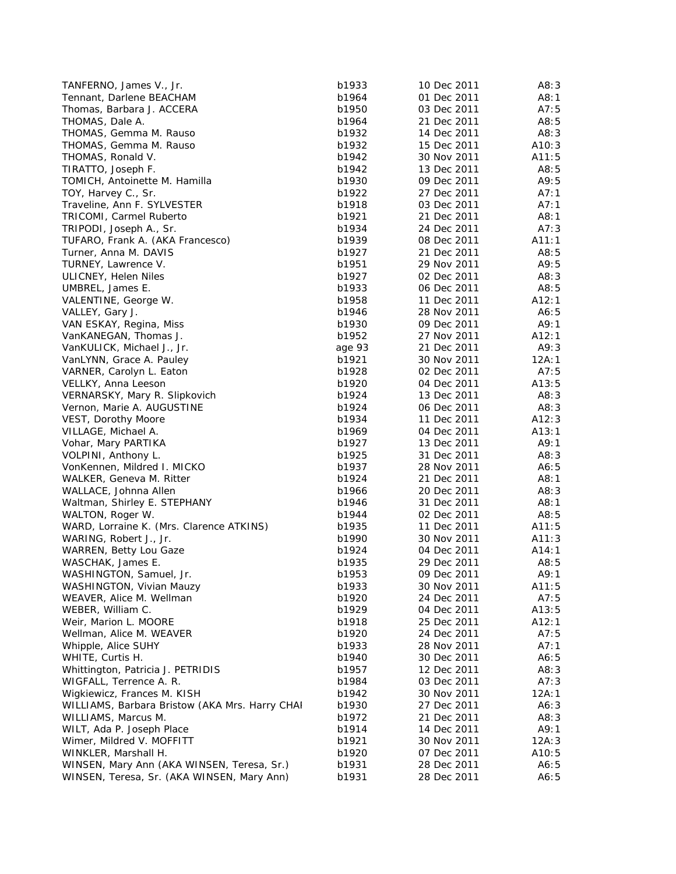| TANFERNO, James V., Jr.                        | b1933  | 10 Dec 2011 | A8:3   |
|------------------------------------------------|--------|-------------|--------|
| Tennant, Darlene BEACHAM                       | b1964  | 01 Dec 2011 | A8:1   |
| Thomas, Barbara J. ACCERA                      | b1950  | 03 Dec 2011 | A7:5   |
| THOMAS, Dale A.                                | b1964  | 21 Dec 2011 | A8:5   |
| THOMAS, Gemma M. Rauso                         | b1932  | 14 Dec 2011 | A8:3   |
| THOMAS, Gemma M. Rauso                         | b1932  | 15 Dec 2011 | A10:3  |
| THOMAS, Ronald V.                              | b1942  | 30 Nov 2011 | A11:5  |
| TIRATTO, Joseph F.                             | b1942  | 13 Dec 2011 | A8:5   |
| TOMICH, Antoinette M. Hamilla                  | b1930  | 09 Dec 2011 | A9:5   |
| TOY, Harvey C., Sr.                            | b1922  | 27 Dec 2011 | A7:1   |
| Traveline, Ann F. SYLVESTER                    | b1918  | 03 Dec 2011 | A7:1   |
| TRICOMI, Carmel Ruberto                        | b1921  | 21 Dec 2011 | A8:1   |
| TRIPODI, Joseph A., Sr.                        | b1934  | 24 Dec 2011 | A7:3   |
| TUFARO, Frank A. (AKA Francesco)               | b1939  | 08 Dec 2011 | A11:1  |
| Turner, Anna M. DAVIS                          | b1927  | 21 Dec 2011 | A8:5   |
| TURNEY, Lawrence V.                            | b1951  | 29 Nov 2011 | A9:5   |
| ULICNEY, Helen Niles                           | b1927  | 02 Dec 2011 | A8:3   |
| UMBREL, James E.                               | b1933  | 06 Dec 2011 | A8:5   |
| VALENTINE, George W.                           | b1958  | 11 Dec 2011 | A12:1  |
| VALLEY, Gary J.                                | b1946  | 28 Nov 2011 | A6:5   |
| VAN ESKAY, Regina, Miss                        | b1930  | 09 Dec 2011 | A9:1   |
| VanKANEGAN, Thomas J.                          | b1952  | 27 Nov 2011 | A12:1  |
| VanKULICK, Michael J., Jr.                     | age 93 | 21 Dec 2011 | A9:3   |
| VanLYNN, Grace A. Pauley                       | b1921  | 30 Nov 2011 | 12A:1  |
| VARNER, Carolyn L. Eaton                       | b1928  | 02 Dec 2011 | A7:5   |
| VELLKY, Anna Leeson                            | b1920  | 04 Dec 2011 | A13:5  |
| VERNARSKY, Mary R. Slipkovich                  | b1924  | 13 Dec 2011 | A8:3   |
| Vernon, Marie A. AUGUSTINE                     | b1924  | 06 Dec 2011 | A8:3   |
| VEST, Dorothy Moore                            | b1934  | 11 Dec 2011 | A12:3  |
| VILLAGE, Michael A.                            | b1969  | 04 Dec 2011 | A13:1  |
| Vohar, Mary PARTIKA                            | b1927  | 13 Dec 2011 | A9:1   |
| VOLPINI, Anthony L.                            | b1925  | 31 Dec 2011 | A8:3   |
| VonKennen, Mildred I. MICKO                    | b1937  | 28 Nov 2011 | A6:5   |
| WALKER, Geneva M. Ritter                       | b1924  | 21 Dec 2011 | A8:1   |
| WALLACE, Johnna Allen                          | b1966  | 20 Dec 2011 | A8:3   |
| Waltman, Shirley E. STEPHANY                   | b1946  | 31 Dec 2011 | A8:1   |
| WALTON, Roger W.                               | b1944  | 02 Dec 2011 | A8:5   |
| WARD, Lorraine K. (Mrs. Clarence ATKINS)       | b1935  | 11 Dec 2011 | A11:5  |
| WARING, Robert J., Jr.                         | b1990  | 30 Nov 2011 | A11:3  |
| WARREN, Betty Lou Gaze                         | b1924  | 04 Dec 2011 | A14:1  |
| WASCHAK, James E.                              | b1935  | 29 Dec 2011 | A8:5   |
| WASHINGTON, Samuel, Jr.                        | b1953  | 09 Dec 2011 | A9:1   |
| WASHINGTON, Vivian Mauzy                       | b1933  | 30 Nov 2011 | A11:5  |
| WEAVER, Alice M. Wellman                       | b1920  | 24 Dec 2011 | A7:5   |
| WEBER, William C.                              | b1929  | 04 Dec 2011 | A13:5  |
| Weir, Marion L. MOORE                          | b1918  | 25 Dec 2011 | A12:1  |
| Wellman, Alice M. WEAVER                       | b1920  | 24 Dec 2011 | A7:5   |
| Whipple, Alice SUHY                            | b1933  | 28 Nov 2011 | A7:1   |
| WHITE, Curtis H.                               | b1940  | 30 Dec 2011 | A6:5   |
| Whittington, Patricia J. PETRIDIS              | b1957  | 12 Dec 2011 | A8:3   |
| WIGFALL, Terrence A. R.                        | b1984  | 03 Dec 2011 | A7:3   |
| Wigkiewicz, Frances M. KISH                    | b1942  | 30 Nov 2011 | 12A: 1 |
| WILLIAMS, Barbara Bristow (AKA Mrs. Harry CHAI | b1930  | 27 Dec 2011 | A6:3   |
| WILLIAMS, Marcus M.                            | b1972  | 21 Dec 2011 | A8: 3  |
| WILT, Ada P. Joseph Place                      | b1914  | 14 Dec 2011 | A9:1   |
| Wimer, Mildred V. MOFFITT                      | b1921  | 30 Nov 2011 | 12A:3  |
| WINKLER, Marshall H.                           | b1920  | 07 Dec 2011 | A10:5  |
| WINSEN, Mary Ann (AKA WINSEN, Teresa, Sr.)     | b1931  | 28 Dec 2011 | A6:5   |
| WINSEN, Teresa, Sr. (AKA WINSEN, Mary Ann)     | b1931  | 28 Dec 2011 | A6:5   |
|                                                |        |             |        |